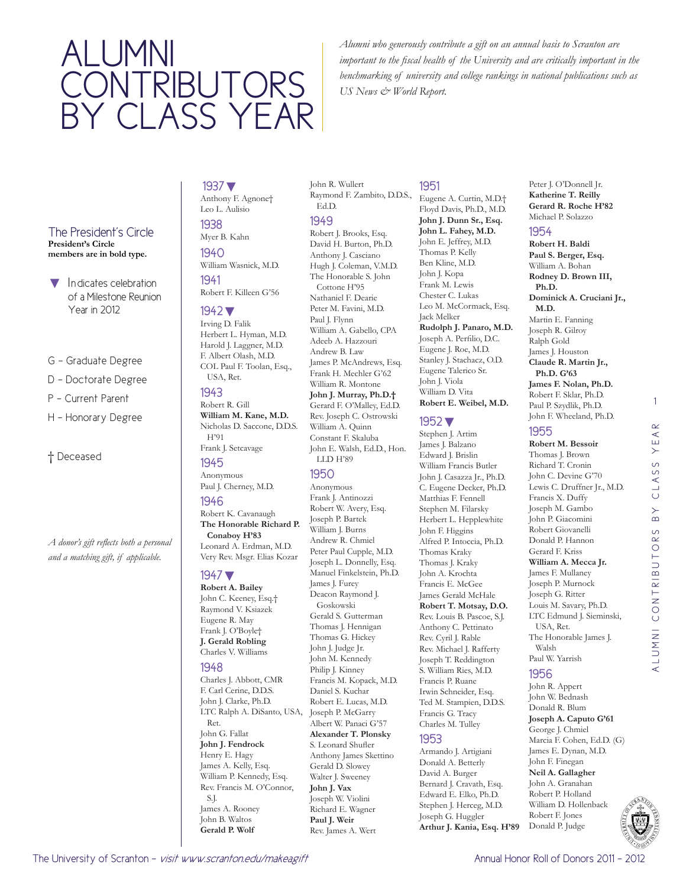# ALUMNI **CONTRIBUTORS** BY CLASS YEAR

*Alumni who generously contribute a gift on an annual basis to Scranton are important to the fiscal health of the University and are critically important in the benchmarking of university and college rankings in national publications such as US News & World Report.* 

#### The President's Circle **President's Circle**

**members are in bold type.**

- Indicates celebration of a Milestone Reunion Year in 2012
- G Graduate Degree
- D Doctorate Degree
- P Current Parent
- H Honorary Degree

#### † Deceased

*A donor's gift reflects both a personal and a matching gift, if applicable.* 

## 1937▼

Anthony F. Agnone† Leo L. Aulisio 1938

### Myer B. Kahn

1940 William Wasnick, M.D. 1941

### Robert F. Killeen G'56

#### 1942▼

Irving D. Falik Herbert L. Hyman, M.D. Harold J. Laggner, M.D. F. Albert Olash, M.D. COL Paul F. Toolan, Esq., USA, Ret.

#### 1943

Robert R. Gill **William M. Kane, M.D.**  Nicholas D. Saccone, D.D.S. H'91 Frank J. Setcavage

### 1945 Anonymous

Paul J. Cherney, M.D. 1946

Robert K. Cavanaugh **The Honorable Richard P. Conaboy H'83** Leonard A. Erdman, M.D. Very Rev. Msgr. Elias Kozar

#### 1947▼

**Robert A. Bailey**  John C. Keeney, Esq.† Raymond V. Ksiazek Eugene R. May Frank J. O'Boyle† **J. Gerald Robling**  Charles V. Williams

#### 1948

Charles J. Abbott, CMR F. Carl Cerine, D.D.S. John J. Clarke, Ph.D. LTC Ralph A. DiSanto, USA, Joseph P. McGarry Ret. John G. Fallat **John J. Fendrock**  Henry E. Hagy James A. Kelly, Esq. William P. Kennedy, Esq. Rev. Francis M. O'Connor, S.J. James A. Rooney John B. Waltos **Gerald P. Wolf** 

John R. Wullert Raymond F. Zambito, D.D.S., Ed.D. 1949 Robert J. Brooks, Esq. David H. Burton, Ph.D. Anthony J. Casciano Hugh J. Coleman, V.M.D. The Honorable S. John Cottone H'95 Nathaniel F. Dearie Peter M. Favini, M.D. Paul J. Flynn William A. Gabello, CPA Adeeb A. Hazzouri Andrew B. Law James P. McAndrews, Esq. Frank H. Mechler G'62 William R. Montone **John J. Murray, Ph.D.†** Gerard F. O'Malley, Ed.D. Rev. Joseph C. Ostrowski William A. Quinn Constant F. Skaluba

John E. Walsh, Ed.D., Hon. LLD H'89 1950

#### Anonymous Frank J. Antinozzi Robert W. Avery, Esq. Joseph P. Bartek William J. Burns Andrew R. Chmiel Peter Paul Cupple, M.D. Joseph L. Donnelly, Esq. Manuel Finkelstein, Ph.D. James J. Furey Deacon Raymond J. Goskowski Gerald S. Gutterman Thomas J. Hennigan Thomas G. Hickey John J. Judge Jr. John M. Kennedy Philip J. Kinney Francis M. Kopack, M.D. Daniel S. Kuchar Robert E. Lucas, M.D. Albert W. Panaci G'57 **Alexander T. Plonsky**  S. Leonard Shufler Anthony James Skettino Gerald D. Slowey Walter J. Sweeney **John J. Vax**  Joseph W. Violini Richard E. Wagner **Paul J. Weir**  Rev. James A. Wert

#### 1951

Eugene A. Curtin, M.D.† Floyd Davis, Ph.D., M.D. **John J. Dunn Sr., Esq. John L. Fahey, M.D.**  John E. Jeffrey, M.D. Thomas P. Kelly Ben Kline, M.D. John J. Kopa Frank M. Lewis Chester C. Lukas Leo M. McCormack, Esq. Jack Melker **Rudolph J. Panaro, M.D.**  Joseph A. Perfilio, D.C. Eugene J. Roe, M.D. Stanley J. Stachacz, O.D. Eugene Talerico Sr. John J. Viola William D. Vita **Robert E. Weibel, M.D.** 

### 1952▼

Stephen J. Artim James J. Balzano Edward J. Brislin William Francis Butler John J. Casazza Jr., Ph.D. C. Eugene Decker, Ph.D. Matthias F. Fennell Stephen M. Filarsky Herbert L. Hepplewhite John F. Higgins Alfred P. Intoccia, Ph.D. Thomas Kraky Thomas J. Kraky John A. Krochta Francis E. McGee James Gerald McHale **Robert T. Motsay, D.O.**  Rev. Louis B. Pascoe, S.J. Anthony C. Pettinato Rev. Cyril J. Rable Rev. Michael J. Rafferty Joseph T. Reddington S. William Ries, M.D. Francis P. Ruane Irwin Schneider, Esq. Ted M. Stampien, D.D.S. Francis G. Tracy Charles M. Tulley

#### 1953

Armando J. Artigiani Donald A. Betterly David A. Burger Bernard J. Cravath, Esq. Edward E. Elko, Ph.D. Stephen J. Herceg, M.D. Joseph G. Huggler **Arthur J. Kania, Esq. H'89**

#### Peter J. O'Donnell Jr. **Katherine T. Reilly Gerard R. Roche H'82** Michael P. Solazzo

#### 1954

**Robert H. Baldi Paul S. Berger, Esq.**  William A. Bohan **Rodney D. Brown III, Ph.D. Dominick A. Cruciani Jr., M.D.**  Martin E. Fanning Joseph R. Gilroy Ralph Gold James J. Houston **Claude R. Martin Jr., Ph.D. G'63 James F. Nolan, Ph.D.**  Robert F. Sklar, Ph.D. Paul P. Szydlik, Ph.D. John F. Wheeland, Ph.D.

### 1955

#### **Robert M. Bessoir**  Thomas J. Brown Richard T. Cronin John C. Devine G'70 Lewis C. Druffner Jr., M.D. Francis X. Duffy Joseph M. Gambo John P. Giacomini Robert Giovanelli Donald P. Hannon Gerard F. Kriss **William A. Mecca Jr.**  James F. Mullaney Joseph P. Murnock Joseph G. Ritter Louis M. Savary, Ph.D. LTC Edmund J. Sieminski, USA, Ret. The Honorable James J. Walsh

### 1956

Paul W. Yarrish

John R. Appert John W. Bednash Donald R. Blum **Joseph A. Caputo G'61** George J. Chmiel Marcia F. Cohen, Ed.D. (G) James E. Dynan, M.D. John F. Finegan **Neil A. Gallagher**  John A. Granahan Robert P. Holland William D. Hollenback Robert F. Jones Donald P. Judge



1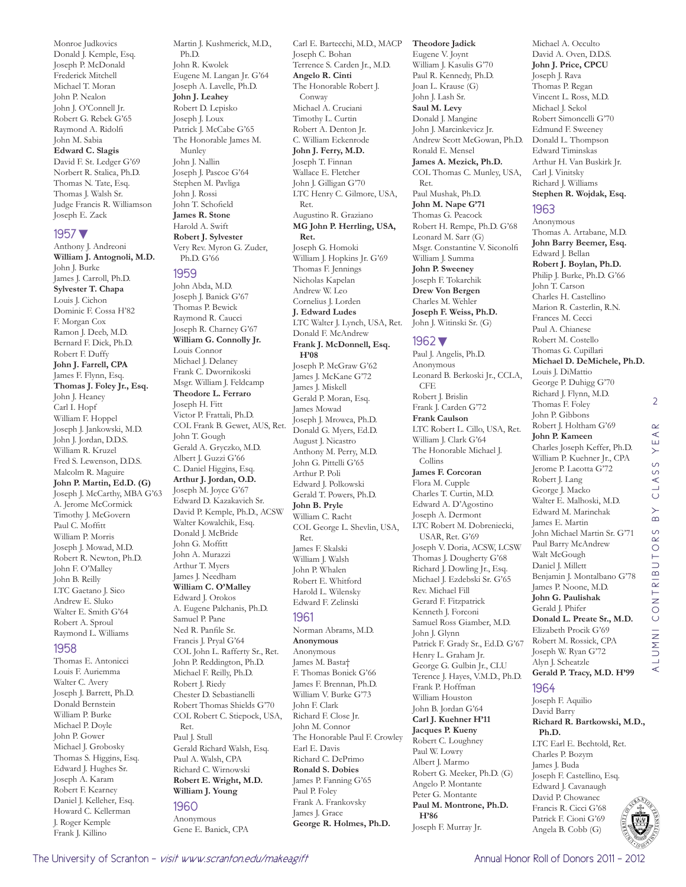Monroe Judkovics Donald J. Kemple, Esq. Joseph P. McDonald Frederick Mitchell Michael T. Moran John P. Nealon John J. O'Connell Jr. Robert G. Rebek G'65 Raymond A. Ridolfi John M. Sabia **Edward C. Slagis**  David F. St. Ledger G'69 Norbert R. Stalica, Ph.D. Thomas N. Tate, Esq. Thomas J. Walsh Sr. Judge Francis R. Williamson

#### 1957▼

Joseph E. Zack

Anthony J. Andreoni **William J. Antognoli, M.D.**  John J. Burke James J. Carroll, Ph.D. **Sylvester T. Chapa**  Louis J. Cichon Dominic F. Cossa H'82 F. Morgan Cox Ramon J. Deeb, M.D. Bernard F. Dick, Ph.D. Robert F. Duffy **John J. Farrell, CPA**  James F. Flynn, Esq. **Thomas J. Foley Jr., Esq.**  John J. Heaney Carl I. Hopf William F. Hoppel Joseph J. Jankowski, M.D. John J. Jordan, D.D.S. William R. Kruzel Fred S. Lewenson, D.D.S. Malcolm R. Maguire **John P. Martin, Ed.D. (G)** Joseph J. McCarthy, MBA G'63 A. Jerome McCormick Timothy J. McGovern Paul C. Moffitt William P. Morris Joseph J. Mowad, M.D. Robert R. Newton, Ph.D. John F. O'Malley John B. Reilly LTC Gaetano J. Sico Andrew E. Sluko Walter E. Smith G'64 Robert A. Sproul Raymond L. Williams

#### 1958

Thomas E. Antonicci Louis F. Auriemma Walter C. Avery Joseph J. Barrett, Ph.D. Donald Bernstein William P. Burke Michael P. Doyle John P. Gower Michael J. Grobosky Thomas S. Higgins, Esq. Edward J. Hughes Sr. Joseph A. Karam Robert F. Kearney Daniel J. Kelleher, Esq. Howard C. Kellerman J. Roger Kemple Frank J. Killino

Martin J. Kushmerick, M.D., Ph.D. John R. Kwolek Eugene M. Langan Jr. G'64 Joseph A. Lavelle, Ph.D. **John J. Leahey**  Robert D. Lepisko Joseph J. Loux Patrick J. McCabe G'65 The Honorable James M. Munley John J. Nallin Joseph J. Pascoe G'64 Stephen M. Pavliga John J. Rossi John T. Schofield **James R. Stone**  Harold A. Swift **Robert J. Sylvester**  Very Rev. Myron G. Zuder, Ph.D. G'66

#### 1959

John Abda, M.D. Joseph J. Banick G'67 Thomas P. Bewick Raymond R. Caucci Joseph R. Charney G'67 **William G. Connolly Jr.**  Louis Connor Michael J. Delaney Frank C. Dwornikoski Msgr. William J. Feldcamp **Theodore L. Ferraro**  Joseph H. Fitt Victor P. Frattali, Ph.D. COL Frank B. Gewet, AUS, Ret. John T. Gough Gerald A. Gryczko, M.D. Albert J. Guzzi G'66 C. Daniel Higgins, Esq. **Arthur J. Jordan, O.D.**  Joseph M. Joyce G'67 Edward D. Kazakavich Sr. David P. Kemple, Ph.D., ACSW Walter Kowalchik, Esq. Donald J. McBride John G. Moffitt John A. Murazzi Arthur T. Myers James J. Needham **William C. O'Malley**  Edward J. Orokos A. Eugene Palchanis, Ph.D. Samuel P. Pane Ned R. Panfile Sr. Francis J. Pryal G'64 COL John L. Rafferty Sr., Ret. John P. Reddington, Ph.D. Michael F. Reilly, Ph.D. Robert J. Riedy Chester D. Sebastianelli Robert Thomas Shields G'70 COL Robert C. Stiepock, USA, Ret. Paul J. Stull Gerald Richard Walsh, Esq. Paul A. Walsh, CPA Richard C. Wirnowski **Robert E. Wright, M.D. William J. Young** 

#### 1960

Anonymous Gene E. Banick, CPA

Carl E. Bartecchi, M.D., MACP Joseph C. Bohan Terrence S. Carden Jr., M.D. **Angelo R. Cinti**  The Honorable Robert J. Conway Michael A. Cruciani Timothy L. Curtin Robert A. Denton Jr. C. William Eckenrode **John J. Ferry, M.D.**  Joseph T. Finnan Wallace E. Fletcher John J. Gilligan G'70 LTC Henry C. Gilmore, USA, Ret. Augustino R. Graziano **MG John P. Herrling, USA, Ret.**  Joseph G. Homoki William J. Hopkins Jr. G'69 Thomas F. Jennings Nicholas Kapelan Andrew W. Leo Cornelius J. Lorden **J. Edward Ludes**  LTC Walter J. Lynch, USA, Ret. Donald F. McAndrew **Frank J. McDonnell, Esq. H'08** Joseph P. McGraw G'62 James J. McKane G'72 James J. Miskell Gerald P. Moran, Esq. James Mowad Joseph J. Mrowca, Ph.D. Donald G. Myers, Ed.D. August J. Nicastro Anthony M. Perry, M.D. John G. Pittelli G'65 Arthur P. Poli Edward J. Polkowski Gerald T. Powers, Ph.D. **John B. Pryle**  William C. Racht COL George L. Shevlin, USA, Ret. James F. Skalski William J. Walsh John P. Whalen Robert E. Whitford Harold L. Wilensky Edward F. Zelinski 1961 Norman Abrams, M.D. **Anonymous** Anonymous James M. Basta† F. Thomas Bonick G'66 James F. Brennan, Ph.D. William V. Burke G'73 John F. Clark Richard F. Close Jr. John M. Connor The Honorable Paul F. Crowley Earl E. Davis

Richard C. DePrimo **Ronald S. Dobies**  James P. Fanning G'65 Paul P. Foley Frank A. Frankovsky James J. Grace

**George R. Holmes, Ph.D.** 

#### **Theodore Jadick**

Eugene V. Joynt William J. Kasulis G'70 Paul R. Kennedy, Ph.D. Joan L. Krause (G) John J. Lash Sr. **Saul M. Levy**  Donald J. Mangine John J. Marcinkevicz Jr. Andrew Scott McGowan, Ph.D. Ronald E. Mensel **James A. Mezick, Ph.D.**  COL Thomas C. Munley, USA, Ret. Paul Mushak, Ph.D. **John M. Nape G'71** Thomas G. Peacock Robert H. Rempe, Ph.D. G'68 Leonard M. Sarr (G) Msgr. Constantine V. Siconolfi William J. Summa **John P. Sweeney**  Joseph F. Tokarchik **Drew Von Bergen**  Charles M. Wehler **Joseph F. Weiss, Ph.D.**  John J. Witinski Sr. (G)

#### 1962▼

Paul J. Angelis, Ph.D. Anonymous Leonard B. Berkoski Jr., CCLA, CFE Robert J. Brislin Frank J. Carden G'72 **Frank Caulson**  LTC Robert L. Cillo, USA, Ret. William J. Clark G'64 The Honorable Michael J. Collins **James F. Corcoran**  Flora M. Cupple Charles T. Curtin, M.D. Edward A. D'Agostino Joseph A. Dermont LTC Robert M. Dobreniecki, USAR, Ret. G'69 Joseph V. Doria, ACSW, LCSW Thomas J. Dougherty G'68 Richard J. Dowling Jr., Esq. Michael J. Ezdebski Sr. G'65 Rev. Michael Fill Gerard F. Fitzpatrick Kenneth J. Forconi Samuel Ross Giamber, M.D. John J. Glynn Patrick F. Grady Sr., Ed.D. G'67 Henry L. Graham Jr. George G. Gulbin Jr., CLU Terence J. Hayes, V.M.D., Ph.D. Frank P. Hoffman William Houston John B. Jordan G'64 **Carl J. Kuehner H'11 Jacques P. Kueny**  Robert C. Loughney Paul W. Lowry Albert J. Marmo Robert G. Meeker, Ph.D. (G) Angelo P. Montante Peter G. Montante **Paul M. Montrone, Ph.D. H'86** Joseph F. Murray Jr.

Michael A. Occulto David A. Oven, D.D.S. **John J. Price, CPCU**  Joseph J. Rava Thomas P. Regan Vincent L. Ross, M.D. Michael J. Sekol Robert Simoncelli G'70 Edmund F. Sweeney Donald L. Thompson Edward Timinskas Arthur H. Van Buskirk Jr. Carl J. Vinitsky Richard J. Williams **Stephen R. Wojdak, Esq.** 

#### 1963

Anonymous Thomas A. Artabane, M.D. **John Barry Beemer, Esq.**  Edward J. Bellan **Robert J. Boylan, Ph.D.**  Philip J. Burke, Ph.D. G'66 John T. Carson Charles H. Castellino Marion R. Casterlin, R.N. Frances M. Cecci Paul A. Chianese Robert M. Costello Thomas G. Cupillari **Michael D. DeMichele, Ph.D.**  Louis J. DiMattio George P. Duhigg G'70 Richard J. Flynn, M.D. Thomas F. Foley John P. Gibbons Robert J. Holtham G'69 **John P. Kameen**  Charles Joseph Keffer, Ph.D. William P. Kuehner Jr., CPA Jerome P. Lacotta G'72 Robert J. Lang George J. Macko Walter E. Malhoski, M.D. Edward M. Marinchak James E. Martin John Michael Martin Sr. G'71 Paul Barry McAndrew Walt McGough Daniel J. Millett Benjamin J. Montalbano G'78 James P. Noone, M.D. **John G. Paulishak**  Gerald J. Phifer **Donald L. Preate Sr., M.D.**  Elizabeth Procik G'69 Robert M. Rossick, CPA Joseph W. Ryan G'72 Alyn J. Scheatzle **Gerald P. Tracy, M.D. H'99**

2

 $\alpha$  $\prec$ Ш  $\rightarrow$  $\circ$ LASS  $\circ$  $\begin{array}{c}\n\searrow\\
\searrow\n\end{array}$ 

ALUMNI CONTRIBUTORS BY CLASS YEAR

CONT

INNUT

 $\prec$ 

OR<sub>S</sub>  $\overline{\overline{C}}$  $\overline{\mathbf{e}}$  $\overline{\mathstrut \simeq}$ 

#### 1964

Joseph F. Aquilio David Barry **Richard R. Bartkowski, M.D., Ph.D.**  LTC Earl E. Bechtold, Ret. Charles P. Bozym James J. Buda Joseph F. Castellino, Esq. Edward J. Cavanaugh David P. Chowanec Francis R. Cicci G'68 Patrick F. Cioni G'69 Angela B. Cobb (G)

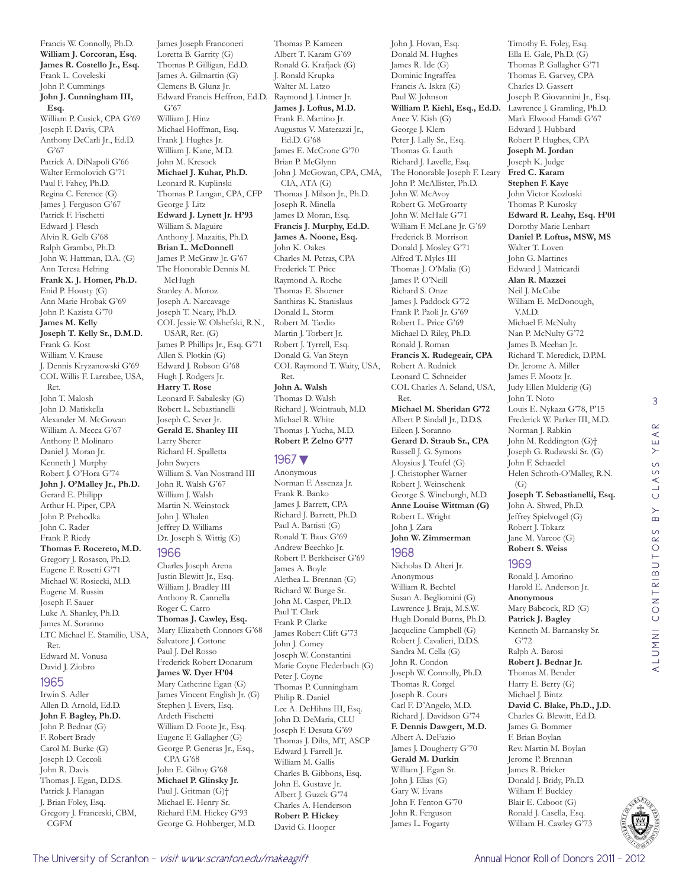Francis W. Connolly, Ph.D. **William J. Corcoran, Esq. James R. Costello Jr., Esq.**  Frank L. Coveleski John P. Cummings **John J. Cunningham III, Esq.**  William P. Cusick, CPA G'69 Joseph F. Davis, CPA Anthony DeCarli Jr., Ed.D. G'67 Patrick A. DiNapoli G'66 Walter Ermolovich G'71 Paul F. Fahey, Ph.D. Regina C. Ference (G) James J. Ferguson G'67 Patrick F. Fischetti Edward J. Flesch Alvin R. Gelb G'68 Ralph Grambo, Ph.D. John W. Hattman, D.A. (G) Ann Teresa Helring **Frank X. J. Homer, Ph.D.**  Enid P. Housty (G) Ann Marie Hrobak G'69 John P. Kazista G'70 **James M. Kelly Joseph T. Kelly Sr., D.M.D.**  Frank G. Kost William V. Krause J. Dennis Kryzanowski G'69 COL Willis F. Larrabee, USA, Ret. John T. Malosh John D. Matiskella Alexander M. McGowan William A. Mecca G'67 Anthony P. Molinaro Daniel J. Moran Jr. Kenneth J. Murphy Robert J. O'Hora G'74 **John J. O'Malley Jr., Ph.D.**  Gerard E. Philipp Arthur H. Piper, CPA John P. Prehodka John C. Rader Frank P. Riedy **Thomas F. Rocereto, M.D.**  Gregory J. Rosasco, Ph.D. Eugene F. Rosetti G'71 Michael W. Rosiecki, M.D. Eugene M. Russin Joseph F. Sauer Luke A. Shanley, Ph.D. James M. Soranno LTC Michael E. Stamilio, USA, Ret. Edward M. Vonusa David J. Ziobro

#### 1965

Irwin S. Adler Allen D. Arnold, Ed.D. **John F. Bagley, Ph.D.**  John P. Bednar (G) F. Robert Brady Carol M. Burke (G) Joseph D. Ceccoli John R. Davis Thomas J. Egan, D.D.S. Patrick J. Flanagan J. Brian Foley, Esq. Gregory J. Franceski, CBM, CGFM

James Joseph Franconeri Loretta B. Garrity (G) Thomas P. Gilligan, Ed.D. James A. Gilmartin (G) Clemens B. Glunz Jr. Edward Francis Heffron, Ed.D. Raymond J. Lintner Jr. G'67 William J. Hinz Michael Hoffman, Esq. Frank J. Hughes Jr. William J. Kane, M.D. John M. Kresock **Michael J. Kuhar, Ph.D.**  Leonard R. Kuplinski Thomas P. Langan, CPA, CFP George J. Litz **Edward J. Lynett Jr. H'93** William S. Maguire Anthony J. Mazaitis, Ph.D. **Brian L. McDonnell**  James P. McGraw Jr. G'67 The Honorable Dennis M. McHugh Stanley A. Moroz Joseph A. Narcavage Joseph T. Neary, Ph.D. COL Jessie W. Olshefski, R.N., USAR, Ret. (G) James P. Phillips Jr., Esq. G'71 Allen S. Plotkin (G) Edward J. Robson G'68 Hugh J. Rodgers Jr. **Harry T. Rose**  Leonard F. Sabalesky (G) Robert L. Sebastianelli Joseph C. Sever Jr. **Gerald E. Shanley III**  Larry Sherer Richard H. Spalletta John Swyers William S. Van Nostrand III John R. Walsh G'67 William J. Walsh Martin N. Weinstock

#### 1966

John J. Whalen Jeffrey D. Williams Dr. Joseph S. Wittig (G)

Charles Joseph Arena Justin Blewitt Jr., Esq. William J. Bradley III Anthony R. Cannella Roger C. Carro **Thomas J. Cawley, Esq.**  Mary Elizabeth Connors G'68 Salvatore J. Cottone Paul J. Del Rosso Frederick Robert Donarum **James W. Dyer H'04** Mary Catherine Egan (G) James Vincent English Jr. (G) Stephen J. Evers, Esq. Ardeth Fischetti William D. Foote Jr., Esq. Eugene F. Gallagher (G) George P. Generas Jr., Esq., CPA G'68 John E. Gilroy G'68 **Michael P. Glinsky Jr.**  Paul J. Gritman (G)† Michael E. Henry Sr. Richard F.M. Hickey G'93 George G. Hohberger, M.D.

Thomas P. Kameen Albert T. Karam G'69 Ronald G. Krafjack (G) J. Ronald Krupka Walter M. Latzo **James J. Loftus, M.D.**  Frank E. Martino Jr. Augustus V. Materazzi Jr., Ed.D. G'68 James E. McCrone G'70 Brian P. McGlynn John J. McGowan, CPA, CMA, CIA, ATA (G) Thomas J. Milson Jr., Ph.D. Joseph R. Minella James D. Moran, Esq. **Francis J. Murphy, Ed.D. James A. Noone, Esq.**  John K. Oakes Charles M. Petras, CPA Frederick T. Price Raymond A. Roche Thomas E. Shoener Santhiras K. Stanislaus Donald L. Storm Robert M. Tardio Martin J. Torbert Jr. Robert J. Tyrrell, Esq. Donald G. Van Steyn COL Raymond T. Waity, USA, Ret. **John A. Walsh**  Thomas D. Walsh Richard J. Weintraub, M.D. Michael R. White

Thomas J. Yucha, M.D. **Robert P. Zelno G'77**

#### 1967▼

Anonymous Norman F. Assenza Jr. Frank R. Banko James J. Barrett, CPA Richard J. Barrett, Ph.D. Paul A. Battisti (G) Ronald T. Baux G'69 Andrew Beechko Jr. Robert P. Berkheiser G'69 James A. Boyle Alethea L. Brennan (G) Richard W. Burge Sr. John M. Casper, Ph.D. Paul T. Clark Frank P. Clarke James Robert Clift G'73 John J. Comey Joseph W. Constantini Marie Coyne Flederbach (G) Peter J. Coyne Thomas P. Cunningham Philip R. Daniel Lee A. DeHihns III, Esq. John D. DeMaria, CLU Joseph F. Desuta G'69 Thomas J. Dilts, MT, ASCP Edward J. Farrell Jr. William M. Gallis Charles B. Gibbons, Esq. John E. Gustave Jr. Albert J. Guzek G'74 Charles A. Henderson **Robert P. Hickey**  David G. Hooper

John J. Hovan, Esq. Donald M. Hughes James R. Ide (G) Dominic Ingraffea Francis A. Iskra (G) Paul W. Johnson **William P. Kiehl, Esq., Ed.D.**  Lawrence J. Gramling, Ph.D. Anee V. Kish (G) George J. Klem Peter J. Lally Sr., Esq. Thomas G. Lauth Richard J. Lavelle, Esq. The Honorable Joseph F. Leary John P. McAllister, Ph.D. John W. McAvoy Robert G. McGroarty John W. McHale G'71 William F. McLane Jr. G'69 Frederick B. Morrison Donald J. Mosley G'71 Alfred T. Myles III Thomas J. O'Malia (G) James P. O'Neill Richard S. Onze James J. Paddock G'72 Frank P. Paoli Jr. G'69 Robert L. Price G'69 Michael D. Riley, Ph.D. Ronald J. Roman **Francis X. Rudegeair, CPA**  Robert A. Rudnick Leonard C. Schneider COL Charles A. Seland, USA, Ret. **Michael M. Sheridan G'72** Albert P. Sindall Jr., D.D.S. Eileen J. Soranno **Gerard D. Straub Sr., CPA**  Russell J. G. Symons Aloysius J. Teufel (G) J. Christopher Warner Robert J. Weinschenk George S. Wineburgh, M.D. **Anne Louise Wittman (G)** Robert L. Wright John J. Zara **John W. Zimmerman**  1968

Nicholas D. Alteri Jr. Anonymous William R. Bechtel Susan A. Begliomini (G) Lawrence J. Braja, M.S.W. Hugh Donald Burns, Ph.D. Jacqueline Campbell (G) Robert J. Cavalieri, D.D.S. Sandra M. Cella (G) John R. Condon Joseph W. Connolly, Ph.D. Thomas R. Corgel Joseph R. Cours Carl F. D'Angelo, M.D. Richard J. Davidson G'74 **F. Dennis Dawgert, M.D.**  Albert A. DeFazio James J. Dougherty G'70 **Gerald M. Durkin**  William J. Egan Sr. John J. Elias (G) Gary W. Evans John F. Fenton G'70 John R. Ferguson James L. Fogarty

Timothy E. Foley, Esq. Ella E. Gale, Ph.D. (G) Thomas P. Gallagher G'71 Thomas E. Garvey, CPA Charles D. Gassert Joseph P. Giovannini Jr., Esq. Mark Elwood Hamdi G'67 Edward J. Hubbard Robert P. Hughes, CPA **Joseph M. Jordan**  Joseph K. Judge **Fred C. Karam Stephen F. Kaye**  John Victor Kozloski Thomas P. Kurosky **Edward R. Leahy, Esq. H'01** Dorothy Marie Lenhart **Daniel P. Loftus, MSW, MS**  Walter T. Loven John G. Martines Edward J. Matricardi **Alan R. Mazzei**  Neil J. McCabe William E. McDonough, V.M.D. Michael F. McNulty Nan P. McNulty G'72 James B. Meehan Jr. Richard T. Meredick, D.P.M. Dr. Jerome A. Miller James F. Mootz Jr. Judy Ellen Mulderig (G) John T. Noto Louis E. Nykaza G'78, P'15 Frederick W. Parker III, M.D. Norman J. Rabkin John M. Reddington (G)† Joseph G. Rudawski Sr. (G) John F. Schaedel Helen Schroth-O'Malley, R.N.  $(G)$ **Joseph T. Sebastianelli, Esq.**  John A. Shwed, Ph.D. Jeffrey Spielvogel (G) Robert J. Tokarz Jane M. Varcoe (G) **Robert S. Weiss** 

1969 Ronald J. Amorino Harold E. Anderson Jr. **Anonymous** Mary Babcock, RD (G) **Patrick J. Bagley**  Kenneth M. Barnansky Sr. G'72 Ralph A. Barosi **Robert J. Bednar Jr.**  Thomas M. Bender Harry E. Berry (G) Michael J. Bintz **David C. Blake, Ph.D., J.D.**  Charles G. Blewitt, Ed.D. James G. Bommer F. Brian Boylan Rev. Martin M. Boylan Jerome P. Brennan James R. Bricker Donald J. Bridy, Ph.D. William F. Buckley Blair E. Caboot (G) Ronald J. Casella, Esq. William H. Cawley G'73

3

YEAR

CLASS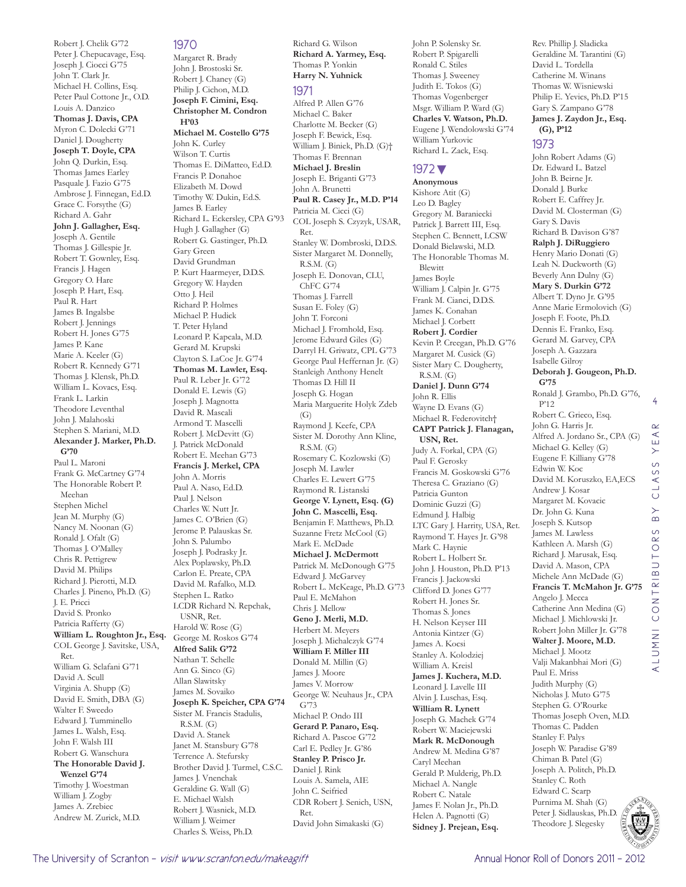Robert J. Chelik G'72 Peter J. Chepucavage, Esq. Joseph J. Ciocci G'75 John T. Clark Jr. Michael H. Collins, Esq. Peter Paul Cottone Jr., O.D. Louis A. Danzico **Thomas J. Davis, CPA**  Myron C. Dolecki G'71 Daniel J. Dougherty **Joseph T. Doyle, CPA**  John Q. Durkin, Esq. Thomas James Earley Pasquale J. Fazio G'75 Ambrose J. Finnegan, Ed.D. Grace C. Forsythe (G) Richard A. Gahr **John J. Gallagher, Esq.**  Joseph A. Gentile Thomas J. Gillespie Jr. Robert T. Gownley, Esq. Francis J. Hagen Gregory O. Hare Joseph P. Hart, Esq. Paul R. Hart James B. Ingalsbe Robert J. Jennings Robert H. Jones G'75 James P. Kane Marie A. Keeler (G) Robert R. Kennedy G'71 Thomas J. Klensk, Ph.D. William L. Kovacs, Esq. Frank L. Larkin Theodore Leventhal John J. Malahoski Stephen S. Mariani, M.D. **Alexander J. Marker, Ph.D. G'70** Paul L. Maroni Frank G. McCartney G'74 The Honorable Robert P. Meehan Stephen Michel Jean M. Murphy (G) Nancy M. Noonan (G) Ronald J. Ofalt (G) Thomas J. O'Malley Chris R. Pettigrew David M. Philips Richard J. Pierotti, M.D. Charles J. Pineno, Ph.D. (G) J. E. Pricci David S. Pronko Patricia Rafferty (G) **William L. Roughton Jr., Esq.**  COL George J. Savitske, USA, Ret. William G. Sclafani G'71 David A. Scull Virginia A. Shupp (G) David E. Smith, DBA (G) Walter F. Sweedo Edward J. Tumminello James L. Walsh, Esq. John F. Walsh III Robert G. Wanschura **The Honorable David J. Wenzel G'74** Timothy J. Woestman William J. Zogby James A. Zrebiec Andrew M. Zurick, M.D.

#### 1970

Margaret R. Brady John J. Brostoski Sr. Robert J. Chaney (G) Philip J. Cichon, M.D. **Joseph F. Cimini, Esq. Christopher M. Condron H'03 Michael M. Costello G'75** John K. Curley Wilson T. Curtis Thomas E. DiMatteo, Ed.D. Francis P. Donahoe Elizabeth M. Dowd Timothy W. Dukin, Ed.S. James B. Earley Richard L. Eckersley, CPA G'93 Hugh J. Gallagher (G) Robert G. Gastinger, Ph.D. Gary Green David Grundman P. Kurt Haarmeyer, D.D.S. Gregory W. Hayden Otto J. Heil Richard P. Holmes Michael P. Hudick T. Peter Hyland Leonard P. Kapcala, M.D. Gerard M. Krupski Clayton S. LaCoe Jr. G'74 **Thomas M. Lawler, Esq.**  Paul R. Leber Jr. G'72 Donald E. Lewis (G) Joseph J. Magnotta David R. Mascali Armond T. Mascelli Robert J. McDevitt (G) J. Patrick McDonald Robert E. Meehan G'73 **Francis J. Merkel, CPA**  John A. Morris Paul A. Naso, Ed.D. Paul J. Nelson Charles W. Nutt Jr. James C. O'Brien (G) Jerome P. Palauskas Sr. John S. Palumbo Joseph J. Podrasky Jr. Alex Poplawsky, Ph.D. Carlon E. Preate, CPA David M. Rafalko, M.D. Stephen L. Ratko LCDR Richard N. Repchak, USNR, Ret. Harold W. Rose (G) George M. Roskos G'74 **Alfred Salik G'72** Nathan T. Schelle Ann G. Sinco (G) Allan Slawitsky James M. Sovaiko **Joseph K. Speicher, CPA G'74** Sister M. Francis Stadulis, R.S.M. (G) David A. Stanek Janet M. Stansbury G'78 Terrence A. Stefursky Brother David J. Turmel, C.S.C. James J. Vnenchak Geraldine G. Wall (G) E. Michael Walsh Robert J. Wasnick, M.D. William J. Weimer Charles S. Weiss, Ph.D.

**Richard A. Yarmey, Esq.**  Thomas P. Yonkin **Harry N. Yuhnick**  1971 Alfred P. Allen G'76 Michael C. Baker Charlotte M. Becker (G) Joseph F. Bewick, Esq. William J. Biniek, Ph.D. (G)† Thomas F. Brennan **Michael J. Breslin**  Joseph E. Briganti G'73 John A. Brunetti **Paul R. Casey Jr., M.D. P'14** Patricia M. Cicci (G) COL Joseph S. Czyzyk, USAR, Ret. Stanley W. Dombroski, D.D.S. Sister Margaret M. Donnelly, R.S.M. (G) Joseph E. Donovan, CLU, ChFC G'74 Thomas J. Farrell Susan E. Foley (G) John T. Forconi Michael J. Fromhold, Esq. Jerome Edward Giles (G) Darryl H. Griwatz, CPL G'73 George Paul Heffernan Jr. (G) Stanleigh Anthony Henelt Thomas D. Hill II Joseph G. Hogan Maria Marguerite Holyk Zdeb  $(G)$ Raymond J. Keefe, CPA Sister M. Dorothy Ann Kline, R.S.M. (G) Rosemary C. Kozlowski (G) Joseph M. Lawler Charles E. Lewert G'75 Raymond R. Listanski **George V. Lynett, Esq. (G) John C. Mascelli, Esq.**  Benjamin F. Matthews, Ph.D. Suzanne Fretz McCool (G) Mark E. McDade **Michael J. McDermott**  Patrick M. McDonough G'75 Edward J. McGarvey Robert L. McKeage, Ph.D. G'73 Paul E. McMahon Chris J. Mellow **Geno J. Merli, M.D.**  Herbert M. Meyers Joseph J. Michalczyk G'74 **William F. Miller III**  Donald M. Millin (G) James J. Moore James V. Morrow George W. Neuhaus Jr., CPA G'73 Michael P. Ondo III **Gerard P. Panaro, Esq.**  Richard A. Pascoe G'72 Carl E. Pedley Jr. G'86 **Stanley P. Prisco Jr.**  Daniel J. Rink Louis A. Samela, AIE John C. Seifried CDR Robert J. Senich, USN, Ret.

David John Simakaski (G)

Richard G. Wilson

John P. Solensky Sr. Robert P. Spigarelli Ronald C. Stiles Thomas J. Sweeney Judith E. Tokos (G) Thomas Vogenberger Msgr. William P. Ward (G) **Charles V. Watson, Ph.D.**  Eugene J. Wendolowski G'74 William Yurkovic Richard L. Zack, Esq.

Rev. Phillip J. Sladicka Geraldine M. Tarantini (G) David L. Tordella Catherine M. Winans Thomas W. Wisniewski Philip E. Yevics, Ph.D. P'15 Gary S. Zampano G'78 **James J. Zaydon Jr., Esq.** 

**(G), P'12** 1973

Gary S. Davis Richard B. Davison G'87 **Ralph J. DiRuggiero**  Henry Mario Donati (G) Leah N. Duckworth (G) Beverly Ann Dulny (G) **Mary S. Durkin G'72** Albert T. Dyno Jr. G'95 Anne Marie Ermolovich (G) Joseph F. Foote, Ph.D. Dennis E. Franko, Esq. Gerard M. Garvey, CPA Joseph A. Gazzara Isabelle Gilroy

John Robert Adams (G) Dr. Edward L. Batzel John B. Beirne Jr. Donald J. Burke Robert E. Caffrey Jr. David M. Closterman (G)

**Deborah J. Gougeon, Ph.D.** 

Ronald J. Grambo, Ph.D. G'76,

Alfred A. Jordano Sr., CPA (G) Michael G. Kelley (G) Eugene F. Killiany G'78 Edwin W. Koc

David M. Koruszko, EA,ECS

Andrew J. Kosar Margaret M. Kovacic Dr. John G. Kuna Joseph S. Kutsop James M. Lawless Kathleen A. Marsh (G) Richard J. Marusak, Esq. David A. Mason, CPA Michele Ann McDade (G) **Francis T. McMahon Jr. G'75**

Angelo J. Mecca Catherine Ann Medina (G) Michael J. Michlowski Jr. Robert John Miller Jr. G'78 **Walter J. Moore, M.D.**  Michael J. Mootz Valji Makanbhai Mori (G)

Paul E. Mriss Judith Murphy (G) Nicholas J. Muto G'75 Stephen G. O'Rourke Thomas Joseph Oven, M.D. Thomas C. Padden Stanley F. Palys Joseph W. Paradise G'89 Chiman B. Patel (G) Joseph A. Politch, Ph.D. Stanley C. Roth Edward C. Scarp Purnima M. Shah (G) Peter J. Sidlauskas, Ph.D. Theodore J. Slegesky

Robert C. Grieco, Esq. John G. Harris Jr.

**G'75**

P'12

#### 1972▼

**Anonymous** Kishore Atit (G) Leo D. Bagley Gregory M. Baraniecki Patrick J. Barrett III, Esq. Stephen C. Bennett, LCSW Donald Bielawski, M.D. The Honorable Thomas M. Blewitt James Boyle William J. Calpin Jr. G'75 Frank M. Cianci, D.D.S. James K. Conahan Michael J. Corbett **Robert J. Cordier**  Kevin P. Creegan, Ph.D. G'76 Margaret M. Cusick (G) Sister Mary C. Dougherty, R.S.M. (G) **Daniel J. Dunn G'74** John R. Ellis Wayne D. Evans (G) Michael R. Federovitch† **CAPT Patrick J. Flanagan, USN, Ret.**  Judy A. Forkal, CPA (G) Paul F. Gerosky Francis M. Goskowski G'76 Theresa C. Graziano (G) Patricia Gunton Dominic Guzzi (G) Edmund J. Halbig LTC Gary J. Harrity, USA, Ret. Raymond T. Hayes Jr. G'98 Mark C. Haynie Robert L. Holbert Sr. John J. Houston, Ph.D. P'13 Francis J. Jackowski Clifford D. Jones G'77 Robert H. Jones Sr. Thomas S. Jones H. Nelson Keyser III Antonia Kintzer (G) James A. Kocsi Stanley A. Kolodziej William A. Kreisl **James J. Kuchera, M.D.**  Leonard I. Lavelle III Alvin J. Luschas, Esq. **William R. Lynett**  Joseph G. Machek G'74 Robert W. Maciejewski **Mark R. McDonough**  Andrew M. Medina G'87 Caryl Meehan Gerald P. Mulderig, Ph.D. Michael A. Nangle Robert C. Natale James F. Nolan Jr., Ph.D. Helen A. Pagnotti (G) **Sidney J. Prejean, Esq.** 

4 $\alpha$ ALUMNI CONTRIBUTORS BY CLASS YEAR  $\prec$ Ш  $\rightarrow$ S CLASS  $\overline{B}$ BUTORS  $\overline{\mathcal{Q}}$ ALUMNI CONT

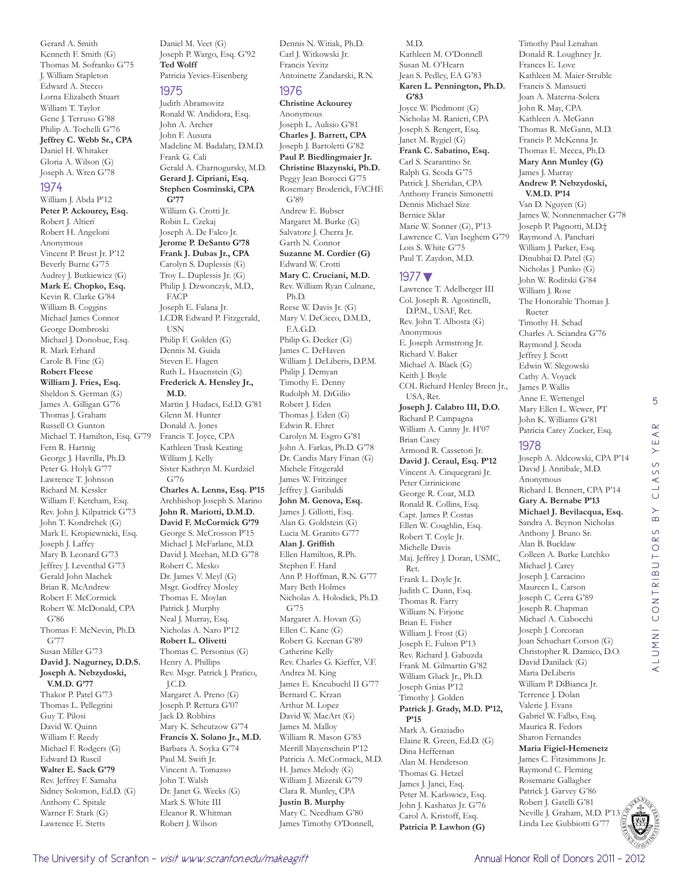Gerard A. Smith Kenneth F. Smith (G) Thomas M. Sofranko G'75 J. William Stapleton Edward A. Stecco Lorna Elizabeth Stuart William T. Taylor Gene J. Terruso G'88 Philip A. Tochelli G'76 **Jeffrey C. Webb Sr., CPA**  Daniel H. Whitaker Gloria A. Wilson (G) Joseph A. Wren G'78

#### 1974

William J. Abda P'12 **Peter P. Ackourey, Esq.**  Robert J. Altieri Robert H. Angeloni Anonymous Vincent P. Brust Jr. P'12 Beverly Burne G'75 Audrey J. Butkiewicz (G) **Mark E. Chopko, Esq.**  Kevin R. Clarke G'84 William B. Coggins Michael James Connor George Dombroski Michael J. Donohue, Esq. R. Mark Erhard Carole B. Fine (G) **Robert Fleese William J. Fries, Esq.**  Sheldon S. German (G) James A. Gilligan G'76 Thomas J. Graham Russell O. Gunton Michael T. Hamilton, Esq. G'79 Fern R. Hartnig George J. Havrilla, Ph.D. Peter G. Holyk G'77 Lawrence T. Johnson Richard M. Kessler William F. Ketcham, Esq. Rev. John J. Kilpatrick G'73 John T. Kondrchek (G) Mark E. Kropiewnicki, Esq. Joseph J. Laffey Mary B. Leonard G'73 Jeffrey J. Leventhal G'73 Gerald John Machek Brian R. McAndrew Robert F. McCormick Robert W. McDonald, CPA G'86 Thomas F. McNevin, Ph.D. G'77 Susan Miller G'73 **David J. Nagurney, D.D.S. Joseph A. Nebzydoski, V.M.D. G'77** Thakor P. Patel G'73 Thomas L. Pellegrini Guy T. Pilosi David W. Quinn William F. Reedy Michael F. Rodgers (G) Edward D. Ruscil **Walter E. Sack G'79** Rev. Jeffrey F. Samaha Sidney Solomon, Ed.D. (G) Anthony C. Spitale Warner F. Stark (G) Lawrence E. Stetts

Daniel M. Veet (G) Joseph P. Wargo, Esq. G'92 **Ted Wolff**  Patricia Yevics-Eisenberg

#### 1975

Judith Abramovitz Ronald W. Andidora, Esq. John A. Archer John F. Ausura Madeline M. Badalaty, D.M.D. Frank G. Cali Gerald A. Charnogursky, M.D. **Gerard J. Cipriani, Esq. Stephen Cosminski, CPA G'77** William G. Crotti Jr. Robin L. Czekaj Joseph A. De Falco Jr. **Jerome P. DeSanto G'78 Frank J. Dubas Jr., CPA**  Carolyn S. Duplessis (G) Troy L. Duplessis Jr. (G) Philip J. Dzwonczyk, M.D., FACP Joseph E. Falana Jr. LCDR Edward P. Fitzgerald, USN Philip F. Golden (G) Dennis M. Guida Steven E. Hagen Ruth L. Hauenstein (G) **Frederick A. Hensley Jr., M.D.**  Martin J. Hudacs, Ed.D. G'81

Glenn M. Hunter Donald A. Jones Francis T. Joyce, CPA Kathleen Trask Keating William J. Kelly Sister Kathryn M. Kurdziel G'76 **Charles A. Lenns, Esq. P'15** Archbishop Joseph S. Marino **John R. Mariotti, D.M.D. David F. McCormick G'79** George S. McCrosson P'15 Michael J. McFarlane, M.D. David J. Meehan, M.D. G'78 Robert C. Mesko Dr. James V. Meyl (G) Msgr. Godfrey Mosley Thomas E. Moylan Patrick J. Murphy Neal J. Murray, Esq. Nicholas A. Naro P'12 **Robert L. Olivetti**  Thomas C. Personius (G) Henry A. Phillips Rev. Msgr. Patrick J. Pratico, J.C.D. Margaret A. Preno (G) Joseph P. Rettura G'07 Jack D. Robbins Mary K. Scheutzow G'74 **Francis X. Solano Jr., M.D.**  Barbara A. Soyka G'74 Paul M. Swift Jr. Vincent A. Tomasso John T. Walsh Dr. Janet G. Weeks (G) Mark S. White III Eleanor R. Whitman Robert J. Wilson

Dennis N. Witiak, Ph.D. Carl J. Witkowski Jr. Francis Yevitz Antoinette Zandarski, R.N.

#### 1976

**Christine Ackourey**  Anonymous Joseph L. Aulisio G'81 **Charles J. Barrett, CPA**  Joseph J. Bartoletti G'82 **Paul P. Biedlingmaier Jr. Christine Blazynski, Ph.D.**  Peggy Jean Borocci G'75 Rosemary Broderick, FACHE G'89 Andrew E. Bubser Margaret M. Burke (G) Salvatore J. Cherra Jr. Garth N. Connor **Suzanne M. Cordier (G)** Edward W. Crotti **Mary C. Cruciani, M.D.**  Rev. William Ryan Culnane, Ph.D. Reese W. Davis Jr. (G) Mary V. DeCicco, D.M.D., F.A.G.D. Philip G. Decker (G) James C. DeHaven William J. DeLiberis, D.P.M. Philip J. Demyan Timothy E. Denny Rudolph M. DiGilio Robert J. Eden Thomas J. Eden (G) Edwin R. Ehret Carolyn M. Esgro G'81 John A. Farkas, Ph.D. G'78 Dr. Candis Mary Finan (G) Michele Fitzgerald James W. Fritzinger Jeffrey J. Garibaldi **John M. Genova, Esq.**  James J. Gillotti, Esq. Alan G. Goldstein (G) Lucia M. Granito G'77 **Alan J. Griffith**  Ellen Hamilton, R.Ph. Stephen F. Hard Ann P. Hoffman, R.N. G'77 Mary Beth Holmes Nicholas A. Holodick, Ph.D. G'75 Margaret A. Hovan (G) Ellen C. Kane (G) Robert G. Keenan G'89 Catherine Kelly Rev. Charles G. Kieffer, V.F. Andrea M. King James E. Kneubuehl II G'77 Bernard C. Krzan Arthur M. Lopez David W. MacArt (G) James M. Malloy William R. Mason G'83 Merrill Mayenschein P'12 Patricia A. McCormack, M.D. H. James Melody (G) William J. Mizerak G'79 Clara R. Munley, CPA **Justin B. Murphy**  Mary C. Needham G'80 James Timothy O'Donnell,

#### M.D.

Kathleen M. O'Donnell Susan M. O'Hearn Jean S. Pedley, EA G'83 **Karen L. Pennington, Ph.D. G'83** Joyce W. Piedmont (G) Nicholas M. Ranieri, CPA Joseph S. Rengert, Esq. Janet M. Rygiel (G) **Frank C. Sabatino, Esq.**  Carl S. Scarantino Sr. Ralph G. Scoda G'75 Patrick J. Sheridan, CPA Anthony Francis Simonetti Dennis Michael Size Bernice Sklar Marie W. Sonner (G), P'13 Lawrence C. Van Iseghem G'79 Lois S. White G'75 Paul T. Zaydon, M.D.

#### 1977▼

Lawrence T. Adelberger III Col. Joseph R. Agostinelli, D.P.M., USAF, Ret. Rev. John T. Albosta (G) Anonymous E. Joseph Armstrong Jr. Richard V. Baker Michael A. Black (G) Keith J. Boyle COL Richard Henley Breen Jr., USA, Ret. **Joseph J. Calabro III, D.O.**  Richard P. Campagna William A. Canny Jr. H'07 Brian Casey Armond R. Cassetori Jr. **David J. Ceraul, Esq. P'12** Vincent A. Cinquegrani Jr. Peter Cirrinicione George R. Coar, M.D. Ronald R. Collins, Esq. Capt. James P. Costas Ellen W. Coughlin, Esq. Robert T. Coyle Jr. Michelle Davis Maj. Jeffrey J. Doran, USMC, Ret. Frank L. Doyle Jr. Judith C. Dunn, Esq. Thomas R. Farry William N. Firjone Brian E. Fisher William J. Frost (G) Joseph E. Fulton P'13 Rev. Richard J. Gabuzda Frank M. Gilmartin G'82 William Gluck Jr., Ph.D. Joseph Gnias P'12 Timothy J. Golden **Patrick J. Grady, M.D. P'12, P'15** Mark A. Graziadio Elaine R. Green, Ed.D. (G) Dina Heffernan Alan M. Henderson Thomas G. Hetzel James J. Janci, Esq. Peter M. Karlowicz, Esq. John J. Kashatus Jr. G'76 Carol A. Kristoff, Esq. **Patricia P. Lawhon (G)**

Donald R. Loughney Jr. Frances E. Love Kathleen M. Maier-Struble Francis S. Mansueti Joan A. Materna-Solera John R. May, CPA Kathleen A. McGann Thomas R. McGann, M.D. Francis P. McKenna Jr. Thomas E. Mecca, Ph.D. **Mary Ann Munley (G)** James J. Murray **Andrew P. Nebzydoski, V.M.D. P'14** Van D. Nguyen (G) James W. Nonnenmacher G'78 Joseph P. Pagnotti, M.D.† Raymond A. Panchari William J. Parker, Esq. Dinubhai D. Patel (G) Nicholas J. Punko (G) John W. Roditski G'84 William J. Rose The Honorable Thomas J. Rueter Timothy H. Schad Charles A. Sciandra G'76 Raymond J. Scoda Jeffrey J. Scott Edwin W. Slegowski Cathy A. Voyack James P. Wallis Anne E. Wettengel Mary Ellen L. Wewer, PT John K. Williams G'81 Patricia Carey Zucker, Esq. 1978 Joseph A. Aldcowski, CPA P'14 David J. Annibale, M.D. Anonymous Richard I. Bennett, CPA P'14

**Gary A. Bernabe P'13 Michael J. Bevilacqua, Esq.**  Sandra A. Beynon Nicholas Anthony J. Bruno Sr. Alan B. Bucklaw Colleen A. Burke Lutchko Michael J. Carey Joseph J. Carracino Maureen L. Carson Joseph C. Cerra G'89 Joseph R. Chapman

Timothy Paul Lenahan

Michael A. Ciabocchi Joseph J. Corcoran Joan Schuchart Corson (G) Christopher R. Damico, D.O. David Danilack (G) Maria DeLiberis William P. DiBianca Jr. Terrence J. Dolan Valerie J. Evans Gabriel W. Falbo, Esq. Maurica R. Fedors Sharon Fernandes **Maria Figiel-Hemenetz**  James C. Fitzsimmons Jr. Raymond C. Fleming Rosemarie Gallagher Patrick J. Garvey G'86 Robert J. Gatelli G'81 Neville J. Graham, M.D. P'13 Linda Lee Gubbiotti G'77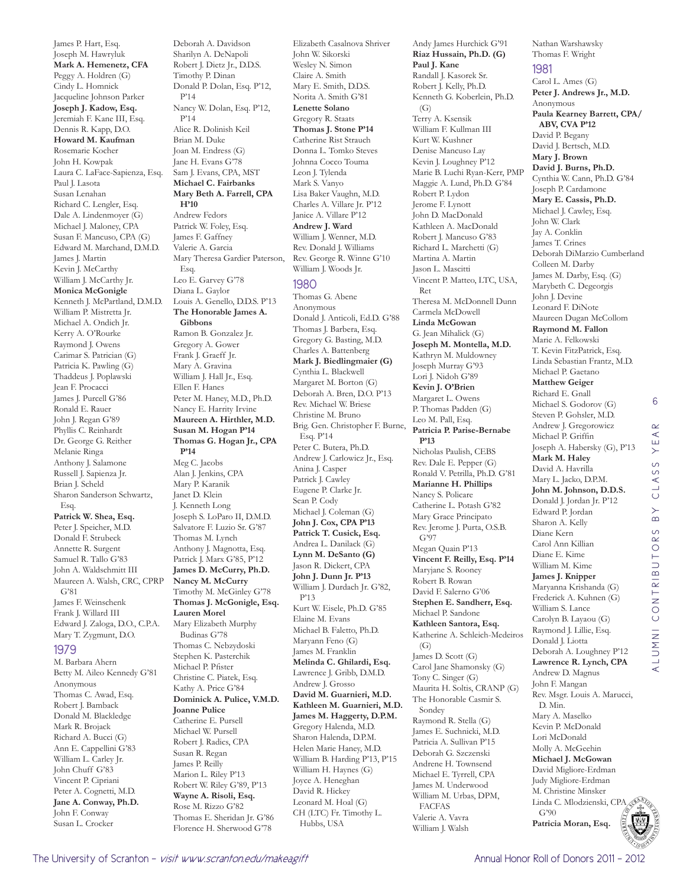James P. Hart, Esq. Joseph M. Hawryluk **Mark A. Hemenetz, CFA**  Peggy A. Holdren (G) Cindy L. Homnick Jacqueline Johnson Parker **Joseph J. Kadow, Esq.**  Jeremiah F. Kane III, Esq. Dennis R. Kapp, D.O. **Howard M. Kaufman**  Rosemarie Kocher John H. Kowpak Laura C. LaFace-Sapienza, Esq. Paul I. Lasota Susan Lenahan Richard C. Lengler, Esq. Dale A. Lindenmoyer (G) Michael J. Maloney, CPA Susan F. Mancuso, CPA (G) Edward M. Marchand, D.M.D. James J. Martin Kevin J. McCarthy William J. McCarthy Jr. **Monica McGonigle**  Kenneth J. McPartland, D.M.D. William P. Mistretta Jr. Michael A. Ondich Jr. Kerry A. O'Rourke Raymond J. Owens Carimar S. Patrician (G) Patricia K. Pawling (G) Thaddeus J. Poplawski Jean F. Procacci James J. Purcell G'86 Ronald E. Rauer John J. Regan G'89 Phyllis C. Reinhardt Dr. George G. Reither Melanie Ringa Anthony J. Salamone Russell J. Sapienza Jr. Brian J. Scheld Sharon Sanderson Schwartz, Esq. **Patrick W. Shea, Esq.**  Peter J. Speicher, M.D. Donald F. Strubeck Annette R. Surgent Samuel R. Tallo G'83 John A. Waldschmitt III Maureen A. Walsh, CRC, CPRP G'81 James F. Weinschenk Frank J. Willard III Edward J. Zaloga, D.O., C.P.A. Mary T. Zygmunt, D.O. 1979 M. Barbara Ahern Betty M. Aileo Kennedy G'81 Anonymous Thomas C. Awad, Esq. Robert J. Bamback Donald M. Blackledge

Deborah A. Davidson Sharilyn A. DeNapoli Robert J. Dietz Jr., D.D.S. Timothy P. Dinan Donald P. Dolan, Esq. P'12, P'14 Nancy W. Dolan, Esq. P'12, P'14 Alice R. Dolinish Keil Brian M. Duke Joan M. Endress (G) Jane H. Evans G'78 Sam J. Evans, CPA, MST **Michael C. Fairbanks Mary Beth A. Farrell, CPA H'10** Andrew Fedors Patrick W. Foley, Esq. James F. Gaffney Valerie A. Garcia Mary Theresa Gardier Paterson, Esq. Leo E. Garvey G'78 Diana L. Gaylor Louis A. Genello, D.D.S. P'13 **The Honorable James A. Gibbons**  Ramon B. Gonzalez Jr. Gregory A. Gower Frank J. Graeff Jr. Mary A. Gravina William J. Hall Jr., Esq. Ellen F. Hanes Peter M. Haney, M.D., Ph.D. Nancy E. Harrity Irvine **Maureen A. Hirthler, M.D. Susan M. Hogan P'14 Thomas G. Hogan Jr., CPA P'14** Meg C. Jacobs Alan J. Jenkins, CPA Mary P. Karanik Janet D. Klein J. Kenneth Long Joseph S. LoParo II, D.M.D. Salvatore F. Luzio Sr. G'87 Thomas M. Lynch Anthony J. Magnotta, Esq. Patrick J. Marx G'85, P'12 **James D. McCurry, Ph.D. Nancy M. McCurry**  Timothy M. McGinley G'78 **Thomas J. McGonigle, Esq. Lauren Morel**  Mary Elizabeth Murphy Budinas G'78 Thomas C. Nebzydoski Stephen K. Pasterchik Michael P. Pfister Christine C. Piatek, Esq. Kathy A. Price G'84 **Dominick A. Pulice, V.M.D. Joanne Pulice**  Catherine E. Pursell Michael W. Pursell Robert J. Radics, CPA Susan R. Regan James P. Reilly Marion L. Riley P'13 Robert W. Riley G'89, P'13 **Wayne A. Risoli, Esq.**  Rose M. Rizzo G'82 Thomas E. Sheridan Jr. G'86 Florence H. Sherwood G'78

Elizabeth Casalnova Shriver John W. Sikorski Wesley N. Simon Claire A. Smith Mary E. Smith, D.D.S. Norita A. Smith G'81 **Lenette Solano**  Gregory R. Staats **Thomas J. Stone P'14** Catherine Rist Strauch Donna L. Tomko Steves Johnna Cocco Touma Leon J. Tylenda Mark S. Vanyo Lisa Baker Vaughn, M.D. Charles A. Villare Jr. P'12 Janice A. Villare P'12 **Andrew J. Ward**  William J. Wenner, M.D. Rev. Donald J. Williams Rev. George R. Winne G'10 William J. Woods Jr. 1980 Thomas G. Abene Anonymous Donald J. Anticoli, Ed.D. G'88 Thomas J. Barbera, Esq. Gregory G. Basting, M.D. Charles A. Battenberg **Mark J. Biedlingmaier (G)** Cynthia L. Blackwell Margaret M. Borton (G) Deborah A. Bren, D.O. P'13 Rev. Michael W. Briese Christine M. Bruno Brig. Gen. Christopher F. Burne, Esq. P'14 Peter C. Butera, Ph.D. Andrew J. Carlowicz Jr., Esq. Anina J. Casper Patrick J. Cawley Eugene P. Clarke Jr. Sean P. Cody Michael J. Coleman (G) **John J. Cox, CPA P'13 Patrick T. Cusick, Esq.**  Andrea L. Danilack (G) **Lynn M. DeSanto (G)** Jason R. Dickert, CPA **John J. Dunn Jr. P'13** William J. Durdach Jr. G'82, P'13 Kurt W. Eisele, Ph.D. G'85 Elaine M. Evans Michael B. Faletto, Ph.D. Maryann Feno (G) James M. Franklin **Melinda C. Ghilardi, Esq.**  Lawrence J. Gribb, D.M.D. Andrew J. Grosso **David M. Guarnieri, M.D. Kathleen M. Guarnieri, M.D. James M. Haggerty, D.P.M.**  Gregory Halenda, M.D. Sharon Halenda, D.P.M. Helen Marie Haney, M.D. William B. Harding P'13, P'15 William H. Haynes (G) Joyce A. Heneghan David R. Hickey Leonard M. Hoal (G) CH (LTC) Fr. Timothy L. Hubbs, USA

Andy James Hurchick G'91 **Riaz Hussain, Ph.D. (G) Paul J. Kane**  Randall J. Kasorek Sr. Robert J. Kelly, Ph.D. Kenneth G. Koberlein, Ph.D.  $(G)$ Terry A. Ksensik William F. Kullman III Kurt W. Kushner Denise Mancuso Lay Kevin J. Loughney P'12 Marie B. Luchi Ryan-Kerr, PMP Maggie A. Lund, Ph.D. G'84 Robert P. Lydon Jerome F. Lynott John D. MacDonald Kathleen A. MacDonald Robert J. Mancuso G'83 Richard L. Marchetti (G) Martina A. Martin Jason L. Mascitti Vincent P. Matteo, LTC, USA, Ret Theresa M. McDonnell Dunn Carmela McDowell **Linda McGowan**  G. Jean Mihalick (G) **Joseph M. Montella, M.D.**  Kathryn M. Muldowney Joseph Murray G'93 Lori J. Nidoh G'89 **Kevin J. O'Brien**  Margaret L. Owens P. Thomas Padden (G) Leo M. Pall, Esq. **Patricia P. Parise-Bernabe P'13** Nicholas Paulish, CEBS Rev. Dale E. Pepper (G) Ronald V. Petrilla, Ph.D. G'81 **Marianne H. Phillips**  Nancy S. Policare Catherine L. Potash G'82 Mary Grace Principato Rev. Jerome J. Purta, O.S.B. G'97 Megan Quain P'13 **Vincent F. Reilly, Esq. P'14** Maryjane S. Rooney Robert B. Rowan David F. Salerno G'06 **Stephen E. Sandherr, Esq.**  Michael P. Sandone **Kathleen Santora, Esq.**  Katherine A. Schleich-Medeiros (G) James D. Scott (G) Carol Jane Shamonsky (G) Tony C. Singer (G) Maurita H. Soltis, CRANP (G) The Honorable Casmir S. Sondey Raymond R. Stella (G) James E. Suchnicki, M.D. Patricia A. Sullivan P'15 Deborah G. Szczenski Andrene H. Townsend Michael E. Tyrrell, CPA James M. Underwood William M. Urbas, DPM, FACFAS Valerie A. Vavra William J. Walsh

Nathan Warshawsky Thomas F. Wright

#### 1981 Carol L. Ames (G) **Peter J. Andrews Jr., M.D.**  Anonymous **Paula Kearney Barrett, CPA/ ABV, CVA P'12** David P. Begany David J. Bertsch, M.D. **Mary J. Brown David J. Burns, Ph.D.**  Cynthia W. Cann, Ph.D. G'84 Joseph P. Cardamone **Mary E. Cassis, Ph.D.**  Michael J. Cawley, Esq. John W. Clark Jay A. Conklin James T. Crines Deborah DiMarzio Cumberland Colleen M. Darby James M. Darby, Esq. (G) Marybeth C. Degeorgis John J. Devine Leonard F. DiNote Maureen Dugan McCollom **Raymond M. Fallon**  Marie A. Felkowski T. Kevin FitzPatrick, Esq. Linda Sebastian Frantz, M.D. Michael P. Gaetano **Matthew Geiger**  Richard E. Gnall Michael S. Godorov (G) Steven P. Gohsler, M.D. Andrew J. Gregorowicz Michael P. Griffin Joseph A. Habersky (G), P'13 **Mark M. Haley**  David A. Havrilla Mary L. Jacko, D.P.M. **John M. Johnson, D.D.S.**  Donald J. Jordan Jr. P'12 Edward P. Jordan Sharon A. Kelly Diane Kern Carol Ann Killian Diane E. Kime William M. Kime **James J. Knipper**  Maryanna Krishanda (G) Frederick A. Kuhnen (G) William S. Lance Carolyn B. Layaou (G) Raymond J. Lillie, Esq. Donald J. Liotta Deborah A. Loughney P'12 **Lawrence R. Lynch, CPA**  Andrew D. Magnus John F. Mangan Rev. Msgr. Louis A. Marucci, D. Min. Mary A. Maselko Kevin P. McDonald Lori McDonald Molly A. McGeehin **Michael J. McGowan**  David Migliore-Erdman Judy Migliore-Erdman

6

 $\alpha$  $\prec$ Ш  $\rightarrow$  $\circ$ LASS  $\circ$  $\overline{B}$ 

ALUMNI CONTRIBUTORS BY CLASS YEAR

ALUMNI CONTRIBUTORS



Mark R. Brojack Richard A. Bucci (G) Ann E. Cappellini G'83 William L. Carley Jr. John Chuff G'83 Vincent P. Cipriani Peter A. Cognetti, M.D. **Jane A. Conway, Ph.D.**  John F. Conway Susan L. Crocker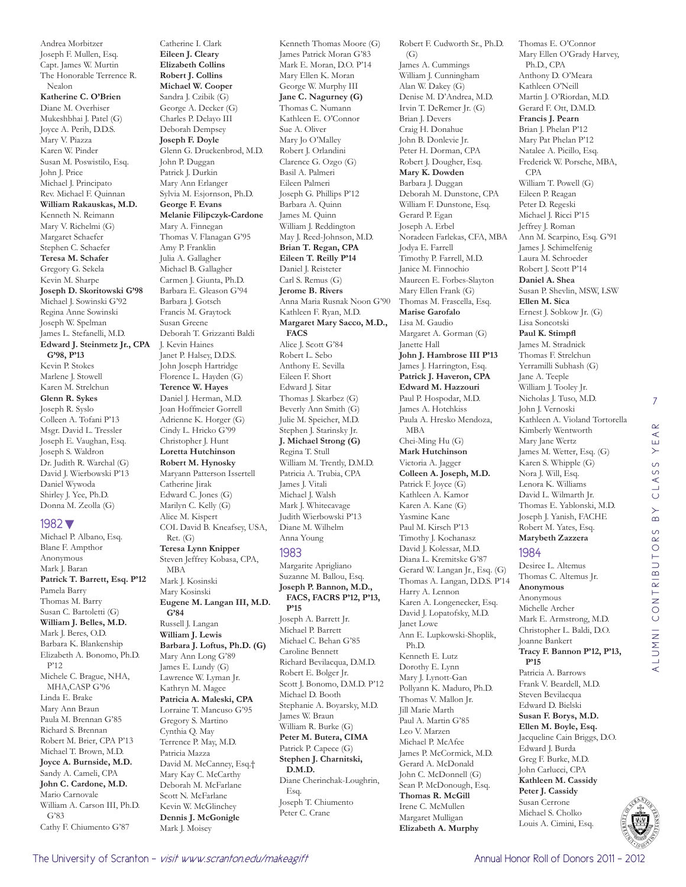Andrea Morbitzer Joseph F. Mullen, Esq. Capt. James W. Murtin The Honorable Terrence R. Nealon **Katherine C. O'Brien**  Diane M. Overhiser Mukeshbhai J. Patel (G) Joyce A. Perih, D.D.S. Mary V. Piazza Karen W. Pinder Susan M. Poswistilo, Esq. John J. Price Michael J. Principato Rev. Michael F. Quinnan **William Rakauskas, M.D.**  Kenneth N. Reimann Mary V. Richelmi (G) Margaret Schaefer Stephen C. Schaefer **Teresa M. Schafer**  Gregory G. Sekela Kevin M. Sharpe **Joseph D. Skoritowski G'98** Michael J. Sowinski G'92 Regina Anne Sowinski Joseph W. Spelman James L. Stefanelli, M.D. **Edward J. Steinmetz Jr., CPA G'98, P'13** Kevin P. Stokes Marlene J. Stowell Karen M. Strelchun **Glenn R. Sykes**  Joseph R. Syslo Colleen A. Tofani P'13 Msgr. David L. Tressler Joseph E. Vaughan, Esq. Joseph S. Waldron Dr. Judith R. Warchal (G) David J. Wierbowski P'13 Daniel Wywoda Shirley J. Yee, Ph.D. Donna M. Zeolla (G) 1982▼ Michael P. Albano, Esq.

Blane F. Ampthor Anonymous Mark J. Baran **Patrick T. Barrett, Esq. P'12** Pamela Barry Thomas M. Barry Susan C. Bartoletti (G) **William J. Belles, M.D.**  Mark J. Beres, O.D. Barbara K. Blankenship Elizabeth A. Bonomo, Ph.D. P'12 Michele C. Brague, NHA, MHA,CASP G'96 Linda E. Brake Mary Ann Braun Paula M. Brennan G'85 Richard S. Brennan Robert M. Brier, CPA P'13 Michael T. Brown, M.D. **Joyce A. Burnside, M.D.**  Sandy A. Cameli, CPA **John C. Cardone, M.D.**  Mario Carnovale William A. Carson III, Ph.D. G'83 Cathy F. Chiumento G'87

Catherine I. Clark **Eileen J. Cleary Elizabeth Collins Robert J. Collins Michael W. Cooper**  Sandra J. Czibik (G) George A. Decker (G) Charles P. Delayo III Deborah Dempsey **Joseph F. Doyle**  Glenn G. Druckenbrod, M.D. John P. Duggan Patrick J. Durkin Mary Ann Erlanger Sylvia M. Esjornson, Ph.D. **George F. Evans Melanie Filipczyk-Cardone**  Mary A. Finnegan Thomas V. Flanagan G'95 Amy P. Franklin Julia A. Gallagher Michael B. Gallagher Carmen J. Giunta, Ph.D. Barbara E. Gleason G'94 Barbara J. Gotsch Francis M. Graytock Susan Greene Deborah T. Grizzanti Baldi J. Kevin Haines Janet P. Halsey, D.D.S. John Joseph Hartridge Florence L. Hayden (G) **Terence W. Hayes**  Daniel J. Herman, M.D. Joan Hoffmeier Gorrell Adrienne K. Horger (G) Cindy L. Hricko G'99 Christopher J. Hunt **Loretta Hutchinson Robert M. Hynosky**  Maryann Patterson Issertell Catherine Jirak Edward C. Jones (G) Marilyn C. Kelly (G) Alice M. Kispert COL David B. Kneafsey, USA, Ret. (G) **Teresa Lynn Knipper**  Steven Jeffrey Kobasa, CPA, MBA Mark J. Kosinski Mary Kosinski **Eugene M. Langan III, M.D. G'84** Russell J. Langan **William J. Lewis Barbara J. Loftus, Ph.D. (G)** Mary Ann Long G'89 James E. Lundy (G)

## Lawrence W. Lyman Jr. Kathryn M. Magee **Patricia A. Maleski, CPA**  Lorraine T. Mancuso G'95 Gregory S. Martino Cynthia Q. May Terrence P. May, M.D. Patricia Mazza David M. McCanney, Esq.†

Mary Kay C. McCarthy Deborah M. McFarlane Scott N. McFarlane Kevin W. McGlinchey **Dennis J. McGonigle**  Mark J. Moisey

Kenneth Thomas Moore (G) James Patrick Moran G'83 Mark E. Moran, D.O. P'14 Mary Ellen K. Moran George W. Murphy III **Jane C. Nagurney (G)** Thomas C. Numann Kathleen E. O'Connor Sue A. Oliver Mary Jo O'Malley Robert J. Orlandini Clarence G. Ozgo (G) Basil A. Palmeri Eileen Palmeri Joseph G. Phillips P'12 Barbara A. Quinn James M. Quinn William J. Reddington May J. Reed-Johnson, M.D. **Brian T. Regan, CPA Eileen T. Reilly P'14** Daniel J. Reisteter Carl S. Remus (G) **Jerome B. Rivers**  Anna Maria Rusnak Noon G'90 Kathleen F. Ryan, M.D. **Margaret Mary Sacco, M.D., FACS**  Alice J. Scott G'84 Robert L. Sebo Anthony E. Sevilla Eileen F. Short Edward J. Sitar Thomas J. Skarbez (G) Beverly Ann Smith (G) Julie M. Speicher, M.D. Stephen J. Starinsky Jr. **J. Michael Strong (G)** Regina T. Stull William M. Trently, D.M.D. Patricia A. Trubia, CPA James J. Vitali Michael J. Walsh Mark J. Whitecavage Judith Wierbowski P'13 Diane M. Wilhelm Anna Young 1983

Margarite Aprigliano Suzanne M. Ballou, Esq. **Joseph P. Bannon, M.D., FACS, FACRS P'12, P'13, P'15**

Joseph A. Barrett Jr. Michael P. Barrett Michael C. Behan G'85 Caroline Bennett Richard Bevilacqua, D.M.D. Robert E. Bolger Jr. Scott J. Bonomo, D.M.D. P'12 Michael D. Booth Stephanie A. Boyarsky, M.D. James W. Braun William R. Burke (G) **Peter M. Butera, CIMA**  Patrick P. Capece (G) **Stephen J. Charnitski, D.M.D.**  Diane Cherinchak-Loughrin, Esq. Joseph T. Chiumento Peter C. Crane

Robert F. Cudworth Sr., Ph.D. (G) James A. Cummings William J. Cunningham Alan W. Dakey (G) Denise M. D'Andrea, M.D. Irvin T. DeRemer Jr. (G) Brian J. Devers Craig H. Donahue John B. Donlevie Jr. Peter H. Dorman, CPA Robert J. Dougher, Esq. **Mary K. Dowden**  Barbara J. Duggan Deborah M. Dunstone, CPA William F. Dunstone, Esq. Gerard P. Egan Joseph A. Erbel Noradeen Farlekas, CFA, MBA Jodya E. Farrell Timothy P. Farrell, M.D. Janice M. Finnochio Maureen E. Forbes-Slayton Mary Ellen Frank (G) Thomas M. Frascella, Esq. **Marise Garofalo**  Lisa M. Gaudio Margaret A. Gorman (G) Janette Hall **John J. Hambrose III P'13** James J. Harrington, Esq. **Patrick J. Haveron, CPA Edward M. Hazzouri**  Paul P. Hospodar, M.D. James A. Hotchkiss Paula A. Hresko Mendoza, MBA Chei-Ming Hu (G) **Mark Hutchinson**  Victoria A. Jagger **Colleen A. Joseph, M.D.**  Patrick F. Joyce (G) Kathleen A. Kamor Karen A. Kane (G) Yasmine Kane Paul M. Kirsch P'13 Timothy J. Kochanasz David J. Kolessar, M.D. Diana L. Kremitske G'87 Gerard W. Langan Jr., Esq. (G) Thomas A. Langan, D.D.S. P'14 Harry A. Lennon Karen A. Longenecker, Esq. David J. Lopatofsky, M.D. Janet Lowe Ann E. Lupkowski-Shoplik, Ph.D. Kenneth E. Lutz Dorothy E. Lynn Mary J. Lynott-Gan Pollyann K. Maduro, Ph.D. Thomas V. Mallon Jr. Jill Marie Marth Paul A. Martin G'85 Leo V. Marzen Michael P. McAfee James P. McCormick, M.D. Gerard A. McDonald John C. McDonnell (G) Sean P. McDonough, Esq. **Thomas R. McGill**  Irene C. McMullen Margaret Mulligan **Elizabeth A. Murphy** 

Thomas E. O'Connor Mary Ellen O'Grady Harvey, Ph.D., CPA Anthony D. O'Meara Kathleen O'Neill Martin J. O'Riordan, M.D. Gerard F. Ott, D.M.D. **Francis J. Pearn**  Brian J. Phelan P'12 Mary Pat Phelan P'12 Natalee A. Picillo, Esq. Frederick W. Porsche, MBA, CPA William T. Powell (G) Eileen P. Reagan Peter D. Regeski Michael J. Ricci P'15 Jeffrey J. Roman Ann M. Scarpino, Esq. G'91 James J. Schimelfenig Laura M. Schroeder Robert J. Scott P'14 **Daniel A. Shea**  Susan P. Shevlin, MSW, LSW **Ellen M. Sica**  Ernest J. Sobkow Jr. (G) Lisa Soncotski **Paul K. Stimpfl**  James M. Stradnick Thomas F. Strelchun Yerramilli Subhash (G) Jane A. Teeple William J. Tooley Jr. Nicholas J. Tuso, M.D. John J. Vernoski Kathleen A. Violand Tortorella Kimberly Wentworth Mary Jane Wertz James M. Wetter, Esq. (G) Karen S. Whipple (G) Nora J. Will, Esq. Lenora K. Williams David L. Wilmarth Jr. Thomas E. Yablonski, M.D. Joseph J. Yanish, FACHE Robert M. Yates, Esq. **Marybeth Zazzera** 

### 1984

Desiree L. Altemus Thomas C. Altemus Jr. **Anonymous** Anonymous Michelle Archer Mark E. Armstrong, M.D. Christopher L. Baldi, D.O. Joanne Bankert **Tracy F. Bannon P'12, P'13, P'15** Patricia A. Barrows Frank V. Beardell, M.D. Steven Bevilacqua Edward D. Bielski **Susan F. Borys, M.D. Ellen M. Boyle, Esq.**  Jacqueline Cain Briggs, D.O. Edward J. Burda Greg F. Burke, M.D. John Carlucci, CPA **Kathleen M. Cassidy Peter J. Cassidy**  Susan Cerrone Michael S. Cholko Louis A. Cimini, Esq.



7

CLASS YEAR

ALUMNI CONTRIBUTORS BY CLASS YEAR

ALUMNI CONTRIBUTORS

 $\overline{B}$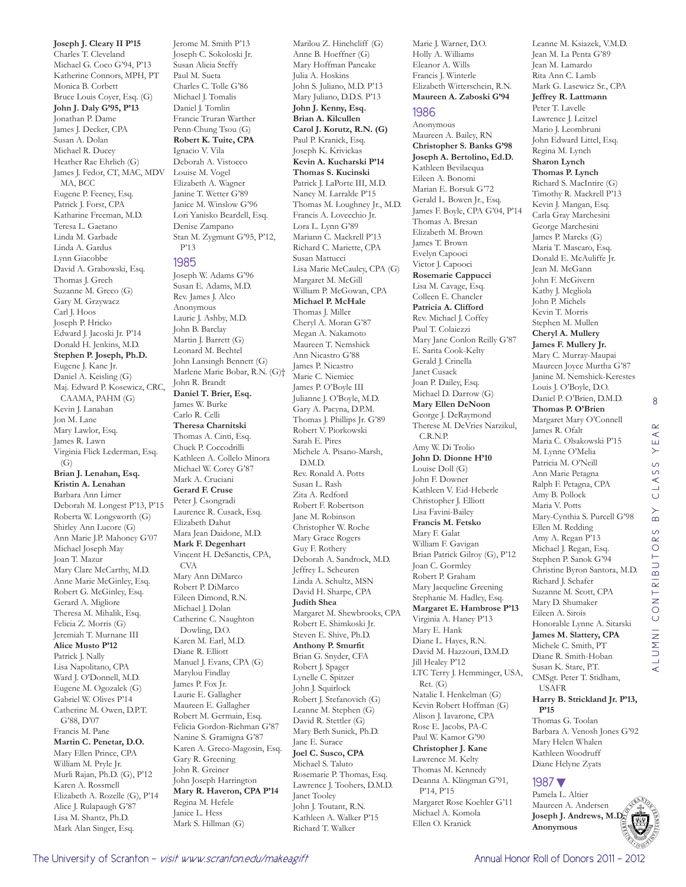**Joseph J. Cleary II P'15** Charles T. Cleveland Michael G. Coco G'94, P'13 Katherine Connors, MPH, PT Monica B. Corbett Bruce Louis Coyer, Esq. (G) **John J. Daly G'95, P'13** Jonathan P. Dame James J. Decker, CPA Susan A. Dolan Michael R. Ducey Heather Rae Ehrlich (G) James J. Fedor, CT, MAC, MDV MA, BCC Eugene P. Feeney, Esq. Patrick J. Forst, CPA Katharine Freeman, M.D. Teresa L. Gaetano Linda M. Garbade Linda A. Gardus Lynn Giacobbe David A. Grabowski, Esq. Thomas J. Grech Suzanne M. Greco (G) Gary M. Grzywacz Carl J. Hoos Joseph P. Hricko Edward J. Jacoski Jr. P'14 Donald H. Jenkins, M.D. **Stephen P. Joseph, Ph.D.**  Eugene J. Kane Jr. Daniel A. Keisling (G) Maj. Edward P. Kosewicz, CRC, CAAMA, PAHM (G) Kevin J. Lanahan Jon M. Lane Mary Lawlor, Esq. James R. Lawn Virginia Flick Lederman, Esq. (G) **Brian J. Lenahan, Esq. Kristin A. Lenahan**  Barbara Ann Limer Deborah M. Longest P'13, P'15 Roberta W. Longsworth (G) Shirley Ann Lucore (G) Ann Marie J.P. Mahoney G'07 Michael Joseph May Joan T. Mazur Mary Clare McCarthy, M.D. Anne Marie McGinley, Esq. Robert G. McGinley, Esq. Gerard A. Migliore Theresa M. Mihalik, Esq. Felicia Z. Morris (G) Jeremiah T. Murnane III **Alice Musto P'12** Patrick J. Nally Lisa Napolitano, CPA Ward J. O'Donnell, M.D. Eugene M. Ogozalek (G) Gabriel W. Olives P'14 Catherine M. Owen, D.P.T. G'88, D'07 Francis M. Pane **Martin C. Penetar, D.O.**  Mary Ellen Prince, CPA William M. Pryle Jr. Murli Rajan, Ph.D. (G), P'12 Karen A. Rossmell Elizabeth A. Rozelle (G), P'14 Alice J. Rulapaugh G'87 Lisa M. Shantz, Ph.D. Mark Alan Singer, Esq.

Charles C. Tolle G'86 Michael J. Tomalis Daniel J. Tomlin Francie Truran Warther Penn-Chung Tsou (G) **Robert K. Tuite, CPA**  Ignacio V. Vila Deborah A. Vistocco Louise M. Vogel Elizabeth A. Wagner Janine T. Wetter G'89 Janice M. Winslow G'96 Lori Yanisko Beardell, Esq. Denise Zampano Stan M. Zygmunt G'95, P'12, P'13 1985 Joseph W. Adams G'96 Susan E. Adams, M.D. Rev. James J. Alco Anonymous Laurie J. Ashby, M.D. John B. Barclay Martin J. Barrett (G) Leonard M. Bechtel John Lansingh Bennett (G) Marlene Marie Bobar, R.N. (G)† John R. Brandt **Daniel T. Brier, Esq.**  James W. Burke Carlo R. Celli **Theresa Charnitski**  Thomas A. Cinti, Esq. Chuck P. Coccodrilli Kathleen A. Collelo Minora Michael W. Corey G'87 Mark A. Cruciani **Gerard F. Cruse**  Peter J. Csongradi Laurence R. Cusack, Esq. Elizabeth Dahut Mara Jean Daidone, M.D. **Mark F. Degenhart**  Vincent H. DeSanctis, CPA, CVA Mary Ann DiMarco Robert P. DiMarco Eileen Dimond, R.N. Michael J. Dolan Catherine C. Naughton Dowling, D.O. Karen M. Earl, M.D. Diane R. Elliott Manuel J. Evans, CPA (G) Marylou Findlay James P. Fox Jr. Laurie E. Gallagher Maureen E. Gallagher Robert M. Germain, Esq. Felicia Gordon-Riehman G'87 Nanine S. Gramigna G'87 Karen A. Greco-Magosin, Esq. Gary R. Greening John R. Greiner John Joseph Harrington **Mary R. Haveron, CPA P'14** Regina M. Hefele Janice L. Hess Mark S. Hillman (G)

Jerome M. Smith P'13 Joseph C. Sokoloski Jr. Susan Alicia Steffy Paul M. Sueta

Marilou Z. Hinchcliff (G) Anne B. Hoeffner (G) Mary Hoffman Pancake Julia A. Hoskins John S. Juliano, M.D. P'13 Mary Juliano, D.D.S. P'13 **John J. Kenny, Esq. Brian A. Kilcullen Carol J. Korutz, R.N. (G)** Paul P. Kranick, Esq. Joseph K. Krivickas **Kevin A. Kucharski P'14 Thomas S. Kucinski**  Patrick J. LaPorte III, M.D. Nancy M. Larralde P'15 Thomas M. Loughney Jr., M.D. Francis A. Lovecchio Jr. Lora L. Lynn G'89 Mariann C. Mackrell P'13 Richard C. Mariette, CPA Susan Mattucci Lisa Marie McCauley, CPA (G) Margaret M. McGill William P. McGowan, CPA **Michael P. McHale** Thomas J. Miller Cheryl A. Moran G'87 Megan A. Nakamoto Maureen T. Nemshick Ann Nicastro G'88 James P. Nicastro Marie C. Niemiec James P. O'Boyle III Julianne J. O'Boyle, M.D. Gary A. Pacyna, D.P.M. Thomas J. Phillips Jr. G'89 Robert V. Piorkowski Sarah E. Pires Michele A. Pisano-Marsh, D.M.D. Rev. Ronald A. Potts Susan L. Rash Zita A. Redford Robert F. Robertson Jane M. Robinson Christopher W. Roche Mary Grace Rogers Guy F. Rothery Deborah A. Sandrock, M.D. Jeffrey L. Scheuren Linda A. Schultz, MSN David H. Sharpe, CPA **Judith Shea**  Margaret M. Shewbrooks, CPA Robert E. Shimkoski Jr. Steven E. Shive, Ph.D. **Anthony P. Smurfit**  Brian G. Snyder, CFA Robert J. Spager Lynelle C. Spitzer John J. Squirlock Robert J. Stefanovich (G) Leanne M. Stephen (G) David R. Stettler (G) Mary Beth Sunick, Ph.D. Jane E. Surace **Joel C. Susco, CPA**  Michael S. Taluto Rosemarie P. Thomas, Esq. Lawrence J. Toohers, D.M.D. Janet Tooley John J. Toutant, R.N. Kathleen A. Walker P'15 Richard T. Walker

Marie J. Warner, D.O. Holly A. Williams Eleanor A. Wills Francis J. Winterle Elizabeth Witterschein, R.N. **Maureen A. Zaboski G'94** 1986 Anonymous Maureen A. Bailey, RN

**Christopher S. Banks G'98 Joseph A. Bertolino, Ed.D.**  Kathleen Bevilacqua Eileen A. Bonomi Marian E. Borsuk G'72 Gerald L. Bowen Jr., Esq. James F. Boyle, CPA G'04, P'14 Thomas A. Bresan Elizabeth M. Brown James T. Brown Evelyn Capooci Victor J. Capooci **Rosemarie Cappucci**  Lisa M. Cavage, Esq. Colleen E. Chancler **Patricia A. Clifford**  Rev. Michael J. Coffey Paul T. Colaiezzi Mary Jane Conlon Reilly G'87 E. Sarita Cook-Kelty Gerald J. Crinella Janet Cusack Joan P. Dailey, Esq. Michael D. Darrow (G) **Mary Ellen DeNoon**  George J. DeRaymond Therese M. DeVries Narzikul, C.R.N.P. Amy W. Di Trolio **John D. Dionne H'10** Louise Doll (G) John F. Downer Kathleen V. Eid-Heberle Christopher J. Elliott Lisa Favini-Bailey **Francis M. Fetsko**  Mary F. Galat William F. Gavigan Brian Patrick Gilroy (G), P'12 Joan C. Gormley Robert P. Graham Mary Jacqueline Greening Stephanie M. Hadley, Esq. **Margaret E. Hambrose P'13** Virginia A. Haney P'13 Mary E. Hank Diane L. Hayes, R.N. David M. Hazzouri, D.M.D. Jill Healey P'12 LTC Terry J. Hemminger, USA, Ret. (G) Natalie I. Henkelman (G) Kevin Robert Hoffman (G) Alison J. Iavarone, CPA Rose E. Jacobs, PA-C Paul W. Kamor G'90 **Christopher J. Kane**  Lawrence M. Kelty Thomas M. Kennedy Deanna A. Klingman G'91, P'14, P'15 Margaret Rose Koehler G'11 Michael A. Komola Ellen O. Kranick

Leanne M. Ksiazek, V.M.D. Jean M. La Penta G'89 Jean M. Lamardo Rita Ann C. Lamb Mark G. Lasewicz Sr., CPA **Jeffrey R. Lattmann**  Peter T. Lavelle Lawrence J. Leitzel Mario J. Leombruni John Edward Littel, Esq. Regina M. Lynch **Sharon Lynch Thomas P. Lynch**  Richard S. MacIntire (G) Timothy R. Mackrell P'13 Kevin J. Mangan, Esq. Carla Gray Marchesini George Marchesini James P. Marcks (G) Maria T. Mascaro, Esq. Donald E. McAuliffe Jr. Jean M. McGann John F. McGivern Kathy J. Megliola John P. Michels Kevin T. Morris Stephen M. Mullen **Cheryl A. Mullery James F. Mullery Jr.**  Mary C. Murray-Maupai Maureen Joyce Murtha G'87 Janine M. Nemshick-Kerestes Louis J. O'Boyle, D.O. Daniel P. O'Brien, D.M.D. **Thomas P. O'Brien**  Margaret Mary O'Connell James R. Ofalt Maria C. Olsakowski P'15 M. Lynne O'Melia Patricia M. O'Neill Ann Marie Petagna Ralph F. Petagna, CPA Amy B. Pollock Maria V. Potts Mary-Cynthia S. Purcell G'98 Ellen M. Redding Amy A. Regan P'13 Michael J. Regan, Esq. Stephen P. Sanok G'94 Christine Byron Santora, M.D. Richard J. Schafer Suzanne M. Scott, CPA Mary D. Shumaker Eileen A. Sirois Honorable Lynne A. Sitarski **James M. Slattery, CPA**  Michele C. Smith, PT Diane R. Smith-Hoban Susan K. Stare, P.T. CMSgt. Peter T. Stidham, USAFR **Harry B. Strickland Jr. P'13, P'15** Thomas G. Toolan Barbara A. Venosh Jones G'92 Mary Helen Whalen

#### 1987▼

Pamela L. Altier Maureen A. Andersen **Joseph J. Andrews, M.D. Anonymous**

Kathleen Woodruff Diane Helyne Zyats

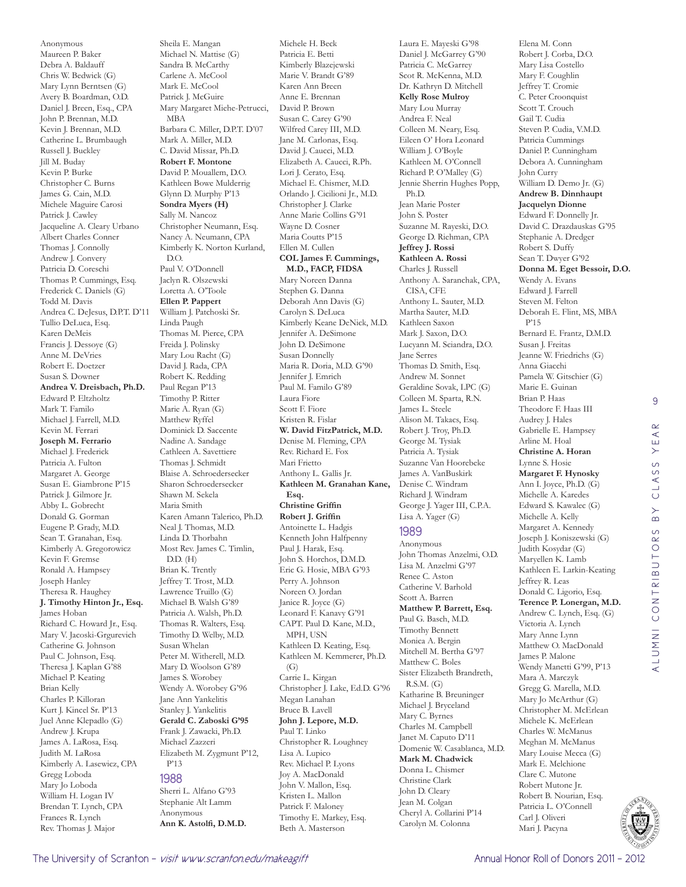Anonymous Maureen P. Baker Debra A. Baldauff Chris W. Bedwick (G) Mary Lynn Berntsen (G) Avery B. Boardman, O.D. Daniel J. Breen, Esq., CPA John P. Brennan, M.D. Kevin J. Brennan, M.D. Catherine L. Brumbaugh Russell J. Buckley Jill M. Buday Kevin P. Burke Christopher C. Burns James G. Cain, M.D. Michele Maguire Carosi Patrick J. Cawley Jacqueline A. Cleary Urbano Albert Charles Conner Thomas J. Connolly Andrew J. Convery Patricia D. Coreschi Thomas P. Cummings, Esq. Frederick C. Daniels (G) Todd M. Davis Andrea C. DeJesus, D.P.T. D'11 Tullio DeLuca, Esq. Karen DeMeis Francis J. Dessoye (G) Anne M. DeVries Robert E. Doetzer Susan S. Downer **Andrea V. Dreisbach, Ph.D.**  Edward P. Eltzholtz Mark T. Familo Michael J. Farrell, M.D. Kevin M. Ferrari **Joseph M. Ferrario**  Michael J. Frederick Patricia A. Fulton Margaret A. George Susan E. Giambrone P'15 Patrick J. Gilmore Jr. Abby L. Gobrecht Donald G. Gorman Eugene P. Grady, M.D. Sean T. Granahan, Esq. Kimberly A. Gregorowicz Kevin F. Gremse Ronald A. Hampsey Joseph Hanley Theresa R. Haughey **J. Timothy Hinton Jr., Esq.**  James Hoban Richard C. Howard Jr., Esq. Mary V. Jacoski-Grgurevich Catherine G. Johnson Paul C. Johnson, Esq. Theresa J. Kaplan G'88 Michael P. Keating Brian Kelly Charles P. Killoran Kurt J. Kincel Sr. P'13 Juel Anne Klepadlo (G) Andrew J. Krupa James A. LaRosa, Esq. Judith M. LaRosa Kimberly A. Lasewicz, CPA Gregg Loboda Mary Jo Loboda William H. Logan IV Brendan T. Lynch, CPA Frances R. Lynch Rev. Thomas J. Major

Sheila E. Mangan Michael N. Mattise (G) Sandra B. McCarthy Carlene A. McCool Mark E. McCool Patrick J. McGuire Mary Margaret Miehe-Petrucci, MBA Barbara C. Miller, D.P.T. D'07 Mark A. Miller, M.D. C. David Missar, Ph.D. **Robert F. Montone**  David P. Mouallem, D.O. Kathleen Bowe Mulderrig Glynn D. Murphy P'13 **Sondra Myers (H)** Sally M. Nancoz Christopher Neumann, Esq. Nancy A. Neumann, CPA Kimberly K. Norton Kurland,  $DO$ Paul V. O'Donnell Jaclyn R. Olszewski Loretta A. O'Toole **Ellen P. Pappert**  William J. Patchoski Sr. Linda Paugh Thomas M. Pierce, CPA Freida J. Polinsky Mary Lou Racht (G) David J. Rada, CPA Robert K. Redding Paul Regan P'13 Timothy P. Ritter Marie A. Ryan (G) Matthew Ryffel Dominick D. Saccente Nadine A. Sandage Cathleen A. Savettiere Thomas J. Schmidt Blaise A. Schroedersecker Sharon Schroedersecker Shawn M. Sekela Maria Smith Karen Amann Talerico, Ph.D. Neal J. Thomas, M.D. Linda D. Thorbahn Most Rev. James C. Timlin, D.D. (H) Brian K. Trently Jeffrey T. Trost, M.D. Lawrence Truillo (G) Michael B. Walsh G'89 Patricia A. Walsh, Ph.D. Thomas R. Walters, Esq. Timothy D. Welby, M.D. Susan Whelan Peter M. Witherell, M.D. Mary D. Woolson G'89 James S. Worobey Wendy A. Worobey G'96 Jane Ann Yankelitis Stanley J. Yankelitis **Gerald C. Zaboski G'95** Frank J. Zawacki, Ph.D. Michael Zazzeri Elizabeth M. Zygmunt P'12, P'13 1988 Sherri L. Alfano G'93

Stephanie Alt Lamm Anonymous **Ann K. Astolfi, D.M.D.** 

Michele H. Beck Patricia E. Betti Kimberly Blazejewski Marie V. Brandt G'89 Karen Ann Breen Anne E. Brennan David P. Brown Susan C. Carey G'90 Wilfred Carey III, M.D. Jane M. Carlonas, Esq. David J. Caucci, M.D. Elizabeth A. Caucci, R.Ph. Lori J. Cerato, Esq. Michael E. Chismer, M.D. Orlando J. Cicilioni Jr., M.D. Christopher J. Clarke Anne Marie Collins G'91 Wayne D. Cosner Maria Coutts P'15 Ellen M. Cullen **COL James F. Cummings, M.D., FACP, FIDSA**  Mary Noreen Danna Stephen G. Danna Deborah Ann Davis (G) Carolyn S. DeLuca Kimberly Keane DeNick, M.D. Jennifer A. DeSimone John D. DeSimone Susan Donnelly Maria R. Doria, M.D. G'90 Jennifer J. Emrich Paul M. Familo G'89 Laura Fiore Scott F. Fiore Kristen R. Fislar **W. David FitzPatrick, M.D.**  Denise M. Fleming, CPA Rev. Richard E. Fox Mari Frietto Anthony L. Gallis Jr. **Kathleen M. Granahan Kane, Esq. Christine Griffin Robert J. Griffin**  Antoinette L. Hadgis Kenneth John Halfpenny Paul J. Harak, Esq. John S. Horchos, D.M.D. Eric G. Hosie, MBA G'93 Perry A. Johnson Noreen O. Jordan Janice R. Joyce (G) Leonard F. Kanavy G'91 CAPT. Paul D. Kane, M.D., MPH, USN Kathleen D. Keating, Esq. Kathleen M. Kemmerer, Ph.D.  $(G)$ Carrie L. Kirgan Christopher J. Lake, Ed.D. G'96 Megan Lanahan Bruce B. Lavell **John J. Lepore, M.D.**  Paul T. Linko Christopher R. Loughney Lisa A. Lupico Rev. Michael P. Lyons Joy A. MacDonald John V. Mallon, Esq. Kristen L. Mallon Patrick F. Maloney

Timothy E. Markey, Esq. Beth A. Masterson

Laura E. Mayeski G'98 Daniel J. McGarrey G'90 Patricia C. McGarrey Scot R. McKenna, M.D. Dr. Kathryn D. Mitchell **Kelly Rose Mulroy**  Mary Lou Murray Andrea F. Neal Colleen M. Neary, Esq. Eileen O' Hora Leonard William J. O'Boyle Kathleen M. O'Connell Richard P. O'Malley (G) Jennie Sherrin Hughes Popp, Ph.D. Jean Marie Poster John S. Poster Suzanne M. Rayeski, D.O. George D. Riehman, CPA **Jeffrey J. Rossi Kathleen A. Rossi**  Charles J. Russell Anthony A. Saranchak, CPA, CISA, CFE Anthony L. Sauter, M.D. Martha Sauter, M.D. Kathleen Saxon Mark J. Saxon, D.O. Lucyann M. Sciandra, D.O. Jane Serres Thomas D. Smith, Esq. Andrew M. Sonnet Geraldine Sovak, LPC (G) Colleen M. Sparta, R.N. James L. Steele Alison M. Takacs, Esq. Robert J. Troy, Ph.D. George M. Tysiak Patricia A. Tysiak Suzanne Van Hoorebeke James A. VanBuskirk Denise C. Windram Richard J. Windram George J. Yager III, C.P.A. Lisa A. Yager (G) 1989 Anonymous John Thomas Anzelmi, O.D. Lisa M. Anzelmi G'97

Renee C. Aston Catherine V. Barhold Scott A. Barren **Matthew P. Barrett, Esq.**  Paul G. Basch, M.D. Timothy Bennett Monica A. Bergin Mitchell M. Bertha G'97 Matthew C. Boles Sister Elizabeth Brandreth, R.S.M. (G) Katharine B. Breuninger Michael J. Bryceland Mary C. Byrnes Charles M. Campbell Janet M. Caputo D'11 Domenic W. Casablanca, M.D. **Mark M. Chadwick**  Donna L. Chismer Christine Clark John D. Cleary Jean M. Colgan Cheryl A. Collarini P'14 Carolyn M. Colonna

Elena M. Conn Robert J. Corba, D.O. Mary Lisa Costello Mary F. Coughlin Jeffrey T. Cromie C. Peter Croonquist Scott T. Crouch Gail T. Cudia Steven P. Cudia, V.M.D. Patricia Cummings Daniel P. Cunningham Debora A. Cunningham John Curry William D. Demo Jr. (G) **Andrew B. Dinnhaupt Jacquelyn Dionne**  Edward F. Donnelly Jr. David C. Drazdauskas G'95 Stephanie A. Dredger Robert S. Duffy Sean T. Dwyer G'92 **Donna M. Eget Bessoir, D.O.**  Wendy A. Evans Edward J. Farrell Steven M. Felton Deborah E. Flint, MS, MBA P'15 Bernard E. Frantz, D.M.D. Susan J. Freitas Jeanne W. Friedrichs (G) Anna Giacchi Pamela W. Gitschier (G) Marie E. Guinan Brian P. Haas Theodore F. Haas III Audrey J. Hales Gabrielle E. Hampsey Arline M. Hoal **Christine A. Horan**  Lynne S. Hosie **Margaret F. Hynosky**  Ann I. Joyce, Ph.D. (G) Michelle A. Karedes Edward S. Kawalec (G) Michelle A. Kelly Margaret A. Kennedy Joseph J. Koniszewski (G) Judith Kosydar (G) Maryellen K. Lamb Kathleen E. Larkin-Keating Jeffrey R. Leas Donald C. Ligorio, Esq. **Terence P. Lonergan, M.D.**  Andrew C. Lynch, Esq. (G) Victoria A. Lynch Mary Anne Lynn Matthew O. MacDonald James P. Malone Wendy Manetti G'99, P'13 Mara A. Marczyk Gregg G. Marella, M.D. Mary Jo McArthur (G) Christopher M. McErlean Michele K. McErlean Charles W. McManus Meghan M. McManus Mary Louise Mecca (G) Mark E. Melchione Clare C. Mutone Robert Mutone Jr. Robert B. Nourian, Esq.



Patricia L. O'Connell Carl J. Oliveri Mari J. Pacyna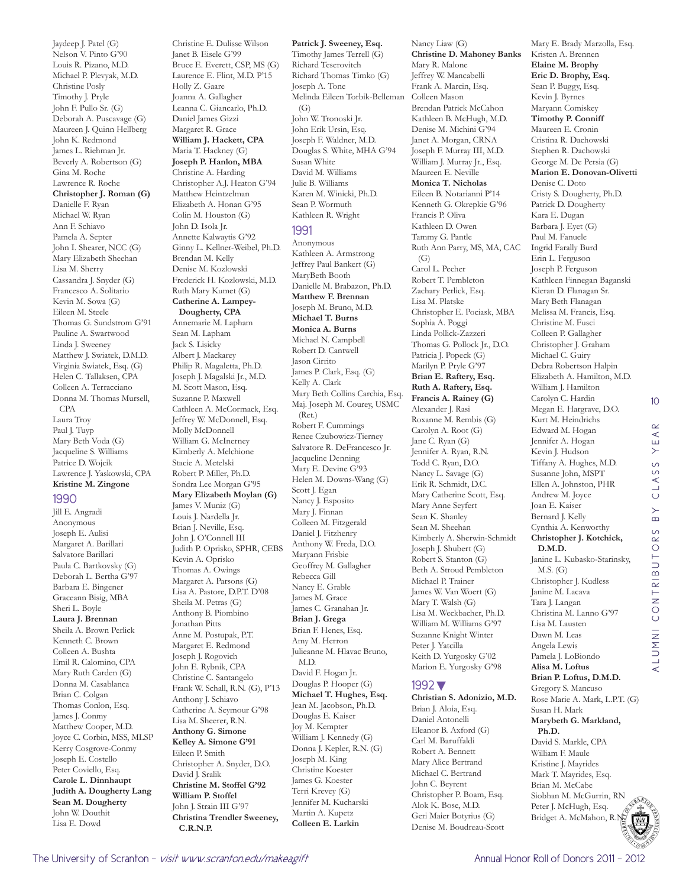Nelson V. Pinto G'90 Louis R. Pizano, M.D. Michael P. Plevyak, M.D. Christine Posly Timothy J. Pryle John F. Pullo Sr. (G) Deborah A. Puscavage (G) Maureen J. Quinn Hellberg John K. Redmond James L. Riehman Jr. Beverly A. Robertson (G) Gina M. Roche Lawrence R. Roche **Christopher J. Roman (G)** Danielle F. Ryan Michael W. Ryan Ann F. Schiavo Pamela A. Septer John I. Shearer, NCC (G) Mary Elizabeth Sheehan Lisa M. Sherry Cassandra J. Snyder (G) Francesco A. Solitario Kevin M. Sowa (G) Eileen M. Steele Thomas G. Sundstrom G'91 Pauline A. Swartwood Linda J. Sweeney Matthew J. Swiatek, D.M.D. Virginia Swiatek, Esq. (G) Helen C. Tallaksen, CPA Colleen A. Terracciano Donna M. Thomas Mursell, CPA Laura Troy Paul J. Tuyp Mary Beth Voda (G) Jacqueline S. Williams Patrice D. Wojcik Lawrence J. Yaskowski, CPA **Kristine M. Zingone**  1990 Jill E. Angradi Anonymous Joseph E. Aulisi Margaret A. Barillari Salvatore Barillari Paula C. Bartkovsky (G) Deborah L. Bertha G'97 Barbara E. Bingener Graceann Bisig, MBA Sheri L. Boyle **Laura J. Brennan**  Sheila A. Brown Perlick Kenneth C. Brown Colleen A. Bushta Emil R. Calomino, CPA Mary Ruth Carden (G) Donna M. Casablanca Brian C. Colgan Thomas Conlon, Esq. James J. Conmy Matthew Cooper, M.D. Joyce C. Corbin, MSS, MLSP

Kerry Cosgrove-Conmy Joseph E. Costello Peter Coviello, Esq. **Carole L. Dinnhaupt Judith A. Dougherty Lang Sean M. Dougherty**  John W. Douthit Lisa E. Dowd

Jaydeep J. Patel (G)

Christine E. Dulisse Wilson Janet B. Eisele G'99 Bruce E. Everett, CSP, MS (G) Laurence E. Flint, M.D. P'15 Holly Z. Gaare Joanna A. Gallagher Leanna C. Giancarlo, Ph.D. Daniel James Gizzi Margaret R. Grace **William J. Hackett, CPA**  Maria T. Hackney (G) **Joseph P. Hanlon, MBA**  Christine A. Harding Christopher A.J. Heaton G'94 Matthew Heintzelman Elizabeth A. Honan G'95 Colin M. Houston (G) John D. Isola Jr. Annette Kalwaytis G'92 Ginny L. Kellner-Weibel, Ph.D. Brendan M. Kelly Denise M. Kozlowski Frederick H. Kozlowski, M.D. Ruth Mary Kumet (G) **Catherine A. Lampey-Dougherty, CPA**  Annemarie M. Lapham Sean M. Lapham Jack S. Lisicky Albert J. Mackarey Philip R. Magaletta, Ph.D. Joseph J. Magalski Jr., M.D. M. Scott Mason, Esq. Suzanne P. Maxwell Cathleen A. McCormack, Esq. Jeffrey W. McDonnell, Esq. Molly McDonnell William G. McInerney Kimberly A. Melchione Stacie A. Metelski Robert P. Miller, Ph.D. Sondra Lee Morgan G'95 **Mary Elizabeth Moylan (G)** James V. Muniz (G) Louis J. Nardella Jr. Brian J. Neville, Esq. John J. O'Connell III Judith P. Oprisko, SPHR, CEBS Kevin A. Oprisko Thomas A. Owings Margaret A. Parsons (G) Lisa A. Pastore, D.P.T. D'08 Sheila M. Petras (G) Anthony B. Piombino Jonathan Pitts Anne M. Postupak, P.T. Margaret E. Redmond Joseph J. Rogovich John E. Rybnik, CPA Christine C. Santangelo Frank W. Schall, R.N. (G), P'13 Anthony J. Schiavo Catherine A. Seymour G'98 Lisa M. Sheerer, R.N. **Anthony G. Simone Kelley A. Simone G'91** Eileen P. Smith Christopher A. Snyder, D.O. David J. Sralik **Christine M. Stoffel G'92 William P. Stoffel**  John J. Strain III G'97 **Christina Trendler Sweeney, C.R.N.P.** 

**Patrick J. Sweeney, Esq.**  Timothy James Terrell (G) Richard Teserovitch Richard Thomas Timko (G) Joseph A. Tone Melinda Eileen Torbik-Belleman  $(G)$ John W. Tronoski Jr. John Erik Ursin, Esq. Joseph F. Waldner, M.D. Douglas S. White, MHA G'94 Susan White David M. Williams Julie B. Williams Karen M. Winicki, Ph.D. Sean P. Wormuth Kathleen R. Wright 1991 Anonymous Kathleen A. Armstrong Jeffrey Paul Bankert (G) MaryBeth Booth Danielle M. Brabazon, Ph.D. **Matthew F. Brennan**  Joseph M. Bruno, M.D. **Michael T. Burns Monica A. Burns**  Michael N. Campbell Robert D. Cantwell Jason Cirrito James P. Clark, Esq. (G) Kelly A. Clark Mary Beth Collins Carchia, Esq. Maj. Joseph M. Courey, USMC (Ret.) Robert F. Cummings Renee Czubowicz-Tierney Salvatore R. DeFrancesco Jr. Jacqueline Denning Mary E. Devine G'93 Helen M. Downs-Wang (G) Scott J. Egan Nancy J. Esposito Mary J. Finnan Colleen M. Fitzgerald Daniel J. Fitzhenry Anthony W. Freda, D.O. Maryann Frisbie Geoffrey M. Gallagher Rebecca Gill Nancy E. Grable James M. Grace James C. Granahan Jr. **Brian J. Grega**  Brian F. Henes, Esq. Amy M. Herron Julieanne M. Hlavac Bruno, M.D. David F. Hogan Jr. Douglas P. Hooper (G) **Michael T. Hughes, Esq.**  Jean M. Jacobson, Ph.D. Douglas E. Kaiser Joy M. Kempter William J. Kennedy (G) Donna J. Kepler, R.N. (G) Joseph M. King Christine Koester James G. Koester Terri Krevey (G) Jennifer M. Kucharski Martin A. Kupetz **Colleen E. Larkin** 

**Christine D. Mahoney Banks**  Mary R. Malone Jeffrey W. Mancabelli Frank A. Marcin, Esq. Colleen Mason Brendan Patrick McCahon Kathleen B. McHugh, M.D. Denise M. Michini G'94 Janet A. Morgan, CRNA Joseph F. Murray III, M.D. William J. Murray Jr., Esq. Maureen E. Neville **Monica T. Nicholas**  Eileen B. Notarianni P'14 Kenneth G. Okrepkie G'96 Francis P. Oliva Kathleen D. Owen Tammy G. Pantle Ruth Ann Parry, MS, MA, CAC  $(G)$ Carol L. Pecher Robert T. Pembleton Zachary Perlick, Esq. Lisa M. Platske Christopher E. Pociask, MBA Sophia A. Poggi Linda Pollick-Zazzeri Thomas G. Pollock Jr., D.O. Patricia J. Popeck (G) Marilyn P. Pryle G'97 **Brian E. Raftery, Esq. Ruth A. Raftery, Esq. Francis A. Rainey (G)** Alexander J. Rasi Roxanne M. Rembis (G) Carolyn A. Root (G) Jane C. Ryan (G) Jennifer A. Ryan, R.N. Todd C. Ryan, D.O. Nancy L. Savage (G) Erik R. Schmidt, D.C. Mary Catherine Scott, Esq. Mary Anne Seyfert Sean K. Shanley Sean M. Sheehan Kimberly A. Sherwin-Schmidt Joseph J. Shubert (G) Robert S. Stanton (G) Beth A. Stroud Pembleton Michael P. Trainer James W. Van Woert (G) Mary T. Walsh (G) Lisa M. Weckbacher, Ph.D. William M. Williams G'97 Suzanne Knight Winter Peter I. Yatcilla Keith D. Yurgosky G'02 Marion E. Yurgosky G'98

Nancy Liaw (G)

#### 1992▼

**Christian S. Adonizio, M.D.**  Brian J. Aloia, Esq. Daniel Antonelli Eleanor B. Axford (G) Carl M. Baruffaldi Robert A. Bennett Mary Alice Bertrand Michael C. Bertrand John C. Beyrent Christopher P. Boam, Esq. Alok K. Bose, M.D. Geri Maier Botyrius (G) Denise M. Boudreau-Scott

Mary E. Brady Marzolla, Esq. Kristen A. Brennen **Elaine M. Brophy Eric D. Brophy, Esq.**  Sean P. Buggy, Esq. Kevin J. Byrnes Maryann Comiskey **Timothy P. Conniff**  Maureen E. Cronin Cristina R. Dachowski Stephen R. Dachowski George M. De Persia (G) **Marion E. Donovan-Olivetti**  Denise C. Doto Cristy S. Dougherty, Ph.D. Patrick D. Dougherty Kara E. Dugan Barbara J. Eyet (G) Paul M. Fanuele Ingrid Farally Burd Erin L. Ferguson Joseph P. Ferguson Kathleen Finnegan Baganski Kieran D. Flanagan Sr. Mary Beth Flanagan Melissa M. Francis, Esq. Christine M. Fusci Colleen P. Gallagher Christopher J. Graham Michael C. Guiry Debra Robertson Halpin Elizabeth A. Hamilton, M.D. William J. Hamilton Carolyn C. Hardin Megan E. Hargrave, D.O. Kurt M. Heindrichs Edward M. Hogan Jennifer A. Hogan Kevin J. Hudson Tiffany A. Hughes, M.D. Susanne John, MSPT Ellen A. Johnston, PHR Andrew M. Joyce Joan E. Kaiser Bernard J. Kelly Cynthia A. Kenworthy **Christopher J. Kotchick, D.M.D.**  Janine L. Kubasko-Starinsky, M.S. (G) Christopher J. Kudless Janine M. Lacava Tara J. Langan Christina M. Lanno G'97 Lisa M. Lausten Dawn M. Leas Angela Lewis Pamela J. LoBiondo **Alisa M. Loftus Brian P. Loftus, D.M.D.**  Gregory S. Mancuso Rose Marie A. Mark, L.P.T. (G) Susan H. Mark

**Marybeth G. Markland, Ph.D.**  David S. Markle, CPA William F. Maule Kristine J. Mayrides Mark T. Mayrides, Esq. Brian M. McCabe Siobhan M. McGurrin, RN Peter J. McHugh, Esq. Bridget A. McMahon, R.N.

10

YEAR

CLASS

 $\overline{B}$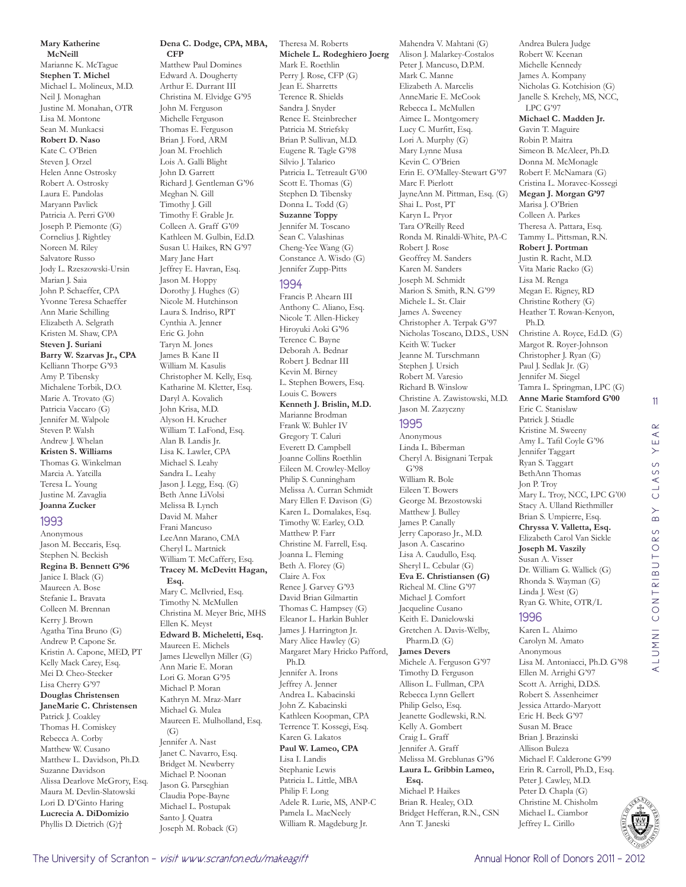**Mary Katherine McNeill**  Marianne K. McTague **Stephen T. Michel**  Michael L. Molineux, M.D. Neil J. Monaghan Justine M. Monahan, OTR Lisa M. Montone Sean M. Munkacsi **Robert D. Naso**  Kate C. O'Brien Steven J. Orzel Helen Anne Ostrosky Robert A. Ostrosky Laura E. Pandolas Maryann Pavlick Patricia A. Perri G'00 Joseph P. Piemonte (G) Cornelius J. Rightley Noreen M. Riley Salvatore Russo Jody L. Rzeszowski-Ursin Marian J. Saia John P. Schaeffer, CPA Yvonne Teresa Schaeffer Ann Marie Schilling Elizabeth A. Selgrath Kristen M. Shaw, CPA **Steven J. Suriani Barry W. Szarvas Jr., CPA**  Kelliann Thorpe G'93 Amy P. Tibensky Michalene Torbik, D.O. Marie A. Trovato (G) Patricia Vaccaro (G) Jennifer M. Walpole Steven P. Walsh Andrew J. Whelan **Kristen S. Williams**  Thomas G. Winkelman Marcia A. Yatcilla Teresa L. Young Justine M. Zavaglia **Joanna Zucker**  1993 Anonymous Jason M. Beccaris, Esq. Stephen N. Beckish **Regina B. Bennett G'96** Janice I. Black (G) Maureen A. Bose Stefanie L. Bravata Colleen M. Brennan

Kerry J. Brown Agatha Tina Bruno (G) Andrew P. Capone Sr. Kristin A. Capone, MED, PT Kelly Mack Carey, Esq. Mei D. Cheo-Stecker Lisa Cherry G'97 **Douglas Christensen JaneMarie C. Christensen**  Patrick J. Coakley Thomas H. Comiskey Rebecca A. Corby Matthew W. Cusano Matthew L. Davidson, Ph.D. Suzanne Davidson Alissa Dearlove McGrory, Esq. Maura M. Devlin-Slatowski Lori D. D'Ginto Haring **Lucrecia A. DiDomizio**  Phyllis D. Dietrich (G)†

**Dena C. Dodge, CPA, MBA, CFP** 

Matthew Paul Domines Edward A. Dougherty Arthur E. Durrant III Christina M. Elvidge G'95 John M. Ferguson Michelle Ferguson Thomas E. Ferguson Brian J. Ford, ARM Joan M. Froehlich Lois A. Galli Blight John D. Garrett Richard J. Gentleman G'96 Meghan N. Gill Timothy J. Gill Timothy F. Grable Jr. Colleen A. Graff G'09 Kathleen M. Gulbin, Ed.D. Susan U. Haikes, RN G'97 Mary Jane Hart Jeffrey E. Havran, Esq. Jason M. Hoppy Dorothy J. Hughes (G) Nicole M. Hutchinson Laura S. Indriso, RPT Cynthia A. Jenner Eric G. John Taryn M. Jones James B. Kane II William M. Kasulis Christopher M. Kelly, Esq. Katharine M. Kletter, Esq. Daryl A. Kovalich John Krisa, M.D. Alyson H. Krucher William T. LaFond, Esq. Alan B. Landis Jr. Lisa K. Lawler, CPA Michael S. Leahy Sandra L. Leahy Jason J. Legg, Esq. (G) Beth Anne LiVolsi Melissa B. Lynch David M. Maher Frani Mancuso LeeAnn Marano, CMA Cheryl L. Martnick William T. McCaffery, Esq. **Tracey M. McDevitt Hagan, Esq.**  Mary C. McIlvried, Esq. Timothy N. McMullen Christina M. Meyer Bric, MHS Ellen K. Meyst **Edward B. Micheletti, Esq.**  Maureen E. Michels James Llewellyn Miller (G) Ann Marie E. Moran Lori G. Moran G'95 Michael P. Moran Kathryn M. Mraz-Marr Michael G. Mulea Maureen E. Mulholland, Esq.  $(G)$ Jennifer A. Nast Janet C. Navarro, Esq. Bridget M. Newberry Michael P. Noonan Jason G. Parseghian Claudia Pope-Bayne Michael L. Postupak Santo J. Quatra Joseph M. Roback (G)

Theresa M. Roberts **Michele L. Rodeghiero Joerg**  Mark E. Roethlin Perry J. Rose, CFP (G) Jean E. Sharretts Terence R. Shields Sandra J. Snyder Renee E. Steinbrecher Patricia M. Striefsky Brian P. Sullivan, M.D. Eugene R. Tagle G'98 Silvio J. Talarico Patricia L. Tetreault G'00 Scott E. Thomas (G) Stephen D. Tibensky Donna L. Todd (G) **Suzanne Toppy**  Jennifer M. Toscano Sean C. Valashinas Cheng-Yee Wang (G) Constance A. Wisdo (G) Jennifer Zupp-Pitts

#### 1994

Francis P. Ahearn III Anthony C. Aliano, Esq. Nicole T. Allen-Hickey Hiroyuki Aoki G'96 Terence C. Bayne Deborah A. Bednar Robert J. Bednar III Kevin M. Birney L. Stephen Bowers, Esq. Louis C. Bowers **Kenneth J. Brislin, M.D.**  Marianne Brodman Frank W. Buhler IV Gregory T. Caluri Everett D. Campbell Joanne Collins Roethlin Eileen M. Crowley-Melloy Philip S. Cunningham Melissa A. Curran Schmidt Mary Ellen F. Davison (G) Karen L. Domalakes, Esq. Timothy W. Earley, O.D. Matthew P. Farr Christine M. Farrell, Esq. Joanna L. Fleming Beth A. Florey (G) Claire A. Fox Renee J. Garvey G'93 David Brian Gilmartin Thomas C. Hampsey (G) Eleanor L. Harkin Buhler James J. Harrington Jr. Mary Alice Hawley (G) Margaret Mary Hricko Pafford, Ph.D. Jennifer A. Irons Jeffrey A. Jenner Andrea L. Kabacinski John Z. Kabacinski Kathleen Koopman, CPA Terrence T. Kossegi, Esq. Karen G. Lakatos **Paul W. Lameo, CPA**  Lisa I. Landis Stephanie Lewis Patricia L. Little, MBA Philip F. Long Adele R. Lurie, MS, ANP-C Pamela L. MacNeely William R. Magdeburg Jr.

Mahendra V. Mahtani (G) Alison J. Malarkey-Costalos Peter J. Mancuso, D.P.M. Mark C. Manne Elizabeth A. Marcelis AnneMarie E. McCook Rebecca L. McMullen Aimee L. Montgomery Lucy C. Murfitt, Esq. Lori A. Murphy (G) Mary Lynne Musa Kevin C. O'Brien Erin E. O'Malley-Stewart G'97 Marc F. Pierlott JayneAnn M. Pittman, Esq. (G) Shai L. Post, PT Karyn L. Pryor Tara O'Reilly Reed Ronda M. Rinaldi-White, PA-C Robert J. Rose Geoffrey M. Sanders Karen M. Sanders Joseph M. Schmidt Marion S. Smith, R.N. G'99 Michele L. St. Clair James A. Sweeney Christopher A. Terpak G'97 Nicholas Toscano, D.D.S., USN Keith W. Tucker Jeanne M. Turschmann Stephen J. Ursich Robert M. Varesio Richard B. Winslow Christine A. Zawistowski, M.D. Jason M. Zazyczny

#### 1995

Anonymous Linda L. Biberman Cheryl A. Bisignani Terpak G'98 William R. Bole Eileen T. Bowers George M. Brzostowski Matthew J. Bulley James P. Canally Jerry Caporaso Jr., M.D. Jason A. Cascarino Lisa A. Caudullo, Esq. Sheryl L. Cebular (G) **Eva E. Christiansen (G)** Richeal M. Cline G'97 Michael J. Comfort Jacqueline Cusano Keith E. Danielowski Gretchen A. Davis-Welby, Pharm.D. (G) **James Devers**  Michele A. Ferguson G'97 Timothy D. Ferguson Allison L. Fullman, CPA Rebecca Lynn Gellert Philip Gelso, Esq. Jeanette Godlewski, R.N. Kelly A. Gombert Craig L. Graff Jennifer A. Graff Melissa M. Greblunas G'96 **Laura L. Gribbin Lameo, Esq.**  Michael P. Haikes Brian R. Healey, O.D. Bridget Hefferan, R.N., CSN Ann T. Janeski

Andrea Bulera Judge Robert W. Keenan Michelle Kennedy James A. Kompany Nicholas G. Kotchision (G) Janelle S. Krehely, MS, NCC, LPC G'97 **Michael C. Madden Jr.**  Gavin T. Maguire Robin P. Maitra Simeon B. McAleer, Ph.D. Donna M. McMonagle Robert F. McNamara (G) Cristina L. Moravec-Kossegi **Megan J. Morgan G'97** Marisa J. O'Brien Colleen A. Parkes Theresa A. Pattara, Esq. Tammy L. Pittsman, R.N. **Robert J. Portman**  Justin R. Racht, M.D. Vita Marie Racko (G) Lisa M. Renga Megan E. Rigney, RD Christine Rothery (G) Heather T. Rowan-Kenyon, Ph.D. Christine A. Royce, Ed.D. (G) Margot R. Royer-Johnson Christopher J. Ryan (G) Paul J. Sedlak Jr. (G) Jennifer M. Siegel Tamra L. Springman, LPC (G) **Anne Marie Stamford G'00** Eric C. Stanislaw Patrick J. Stiadle Kristine M. Sweeny Amy L. Tafil Coyle G'96 Jennifer Taggart Ryan S. Taggart BethAnn Thomas Jon P. Troy Mary L. Troy, NCC, LPC G'00 Stacy A. Ulland Riethmiller Brian S. Umpierre, Esq. **Chryssa V. Valletta, Esq.**  Elizabeth Carol Van Sickle **Joseph M. Vaszily**  Susan A. Visser Dr. William G. Wallick (G) Rhonda S. Wayman (G) Linda J. West (G) Ryan G. White, OTR/L 1996

11

 $\alpha$  $\prec$ YE,

LASS  $\circ$  $\overline{B}$ 

ALUMNI CONTRIBUTORS BY CLASS YEAR

ALUMNI CONTRIBUTORS

Karen L. Alaimo Carolyn M. Amato Anonymous Lisa M. Antoniacci, Ph.D. G'98 Ellen M. Arrighi G'97 Scott A. Arrighi, D.D.S. Robert S. Assenheimer Jessica Attardo-Maryott Eric H. Beck G'97 Susan M. Brace Brian J. Brazinski Allison Buleza Michael F. Calderone G'99 Erin R. Carroll, Ph.D., Esq. Peter J. Cawley, M.D. Peter D. Chapla (G) Christine M. Chisholm Michael L. Ciambor Jeffrey L. Cirillo

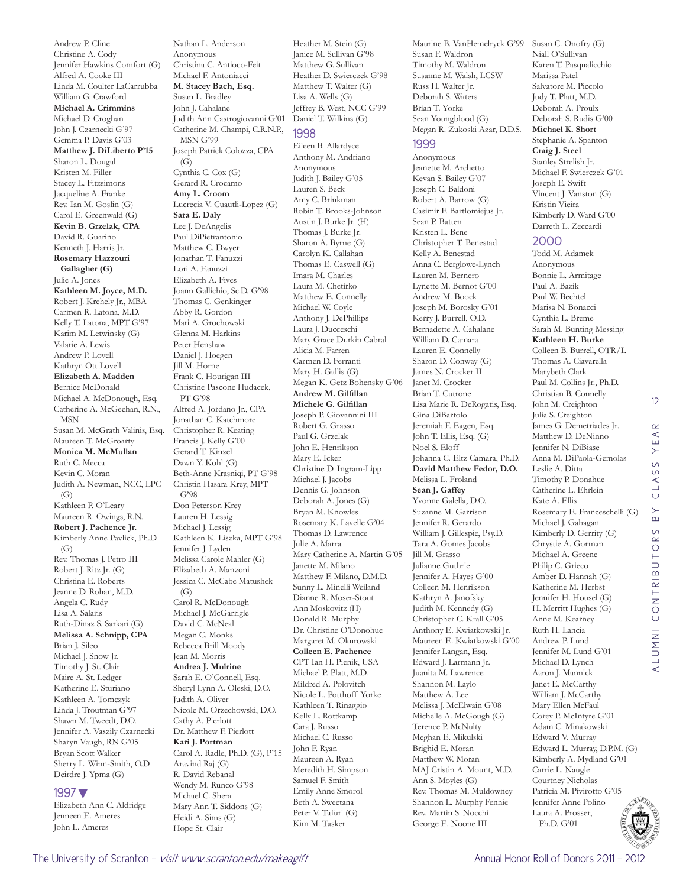Andrew P. Cline Christine A. Cody Jennifer Hawkins Comfort (G) Alfred A. Cooke III Linda M. Coulter LaCarrubba William G. Crawford **Michael A. Crimmins**  Michael D. Croghan John J. Czarnecki G'97 Gemma P. Davis G'03 **Matthew J. DiLiberto P'15** Sharon L. Dougal Kristen M. Filler Stacey L. Fitzsimons Jacqueline A. Franke Rev. Ian M. Goslin (G) Carol E. Greenwald (G) **Kevin B. Grzelak, CPA**  David R. Guarino Kenneth J. Harris Jr. **Rosemary Hazzouri Gallagher (G)** Julie A. Jones **Kathleen M. Joyce, M.D.**  Robert J. Krehely Jr., MBA Carmen R. Latona, M.D. Kelly T. Latona, MPT G'97 Karim M. Letwinsky (G) Valarie A. Lewis Andrew P. Lovell Kathryn Ott Lovell **Elizabeth A. Madden**  Bernice McDonald Michael A. McDonough, Esq. Catherine A. McGeehan, R.N., MSN Susan M. McGrath Valinis, Esq. Maureen T. McGroarty **Monica M. McMullan**  Ruth C. Mecca Kevin C. Moran Judith A. Newman, NCC, LPC (G) Kathleen P. O'Leary Maureen R. Owings, R.N. **Robert J. Pachence Jr.**  Kimberly Anne Pavlick, Ph.D.  $(G)$ Rev. Thomas J. Petro III Robert J. Ritz Jr. (G) Christina E. Roberts Jeanne D. Rohan, M.D. Angela C. Rudy Lisa A. Salaris Ruth-Dinaz S. Sarkari (G) **Melissa A. Schnipp, CPA**  Brian J. Sileo Michael J. Snow Jr. Timothy J. St. Clair Maire A. St. Ledger Katherine E. Sturiano Kathleen A. Tomczyk Linda J. Troutman G'97 Shawn M. Tweedt, D.O. Jennifer A. Vaszily Czarnecki Sharyn Vaugh, RN G'05 Bryan Scott Walker Sherry L. Winn-Smith, O.D. Deirdre J. Ypma (G)

#### 1997▼

Elizabeth Ann C. Aldridge Jenneen E. Ameres John L. Ameres

Nathan L. Anderson Anonymous Christina C. Antioco-Feit Michael F. Antoniacci **M. Stacey Bach, Esq.**  Susan L. Bradley John J. Cahalane Judith Ann Castrogiovanni G'01 Catherine M. Champi, C.R.N.P., MSN G'99 Joseph Patrick Colozza, CPA  $(G)$ Cynthia C. Cox (G) Gerard R. Crocamo **Amy L. Croom**  Lucrecia V. Cuautli-Lopez (G) **Sara E. Daly**  Lee J. DeAngelis Paul DiPietrantonio Matthew C. Dwyer Jonathan T. Fanuzzi Lori A. Fanuzzi Elizabeth A. Fives Joann Gallichio, Sc.D. G'98 Thomas C. Genkinger Abby R. Gordon Mari A. Grochowski Glenna M. Harkins Peter Henshaw Daniel J. Hoegen Jill M. Horne Frank C. Hourigan III Christine Pascone Hudacek, PT G'98 Alfred A. Jordano Jr., CPA Jonathan C. Katchmore Christopher R. Keating Francis J. Kelly G'00 Gerard T. Kinzel Dawn Y. Kohl (G) Beth-Anne Krasniqi, PT G'98 Christin Hasara Krey, MPT G'98 Don Peterson Krey Lauren H. Lessig Michael J. Lessig Kathleen K. Liszka, MPT G'98 Jennifer J. Lyden Melissa Carole Mahler (G) Elizabeth A. Manzoni Jessica C. McCabe Matushek  $(G)$ Carol R. McDonough Michael J. McGarrigle David C. McNeal Megan C. Monks Rebecca Brill Moody Jean M. Morris **Andrea J. Mulrine**  Sarah E. O'Connell, Esq. Sheryl Lynn A. Oleski, D.O. Judith A. Oliver Nicole M. Orzechowski, D.O. Cathy A. Pierlott Dr. Matthew F. Pierlott **Kari J. Portman**  Carol A. Radle, Ph.D. (G), P'15 Aravind Raj (G) R. David Rebanal Wendy M. Runco G'98 Michael C. Shera Mary Ann T. Siddons (G) Heidi A. Sims (G)

Heather M. Stein (G) Janice M. Sullivan G'98 Matthew G. Sullivan Heather D. Swierczek G'98 Matthew T. Walter (G) Lisa A. Wells (G) Jeffrey B. West, NCC G'99 Daniel T. Wilkins (G) 1998

Eileen B. Allardyce Anthony M. Andriano Anonymous Judith J. Bailey G'05 Lauren S. Beck Amy C. Brinkman Robin T. Brooks-Johnson Austin J. Burke Jr. (H) Thomas J. Burke Jr. Sharon A. Byrne (G) Carolyn K. Callahan Thomas E. Caswell (G) Imara M. Charles Laura M. Chetirko Matthew E. Connelly Michael W. Coyle Anthony J. DePhillips Laura J. Ducceschi Mary Grace Durkin Cabral Alicia M. Farren Carmen D. Ferranti Mary H. Gallis (G) Megan K. Getz Bohensky G'06 **Andrew M. Gilfillan Michele G. Gilfillan**  Joseph P. Giovannini III Robert G. Grasso Paul G. Grzelak John E. Henrikson Mary E. Icker Christine D. Ingram-Lipp Michael J. Jacobs Dennis G. Johnson Deborah A. Jones (G) Bryan M. Knowles Rosemary K. Lavelle G'04 Thomas D. Lawrence Julie A. Marra Mary Catherine A. Martin G'05 Janette M. Milano Matthew F. Milano, D.M.D. Sunny L. Minelli Weiland Dianne R. Moser-Stout Ann Moskovitz (H) Donald R. Murphy Dr. Christine O'Donohue Margaret M. Okurowski **Colleen E. Pachence**  CPT Ian H. Pienik, USA Michael P. Platt, M.D. Mildred A. Polovitch Nicole L. Potthoff Yorke Kathleen T. Rinaggio Kelly L. Rottkamp Cara J. Russo Michael C. Russo John F. Ryan Maureen A. Ryan Meredith H. Simpson Samuel F. Smith Emily Anne Smorol Beth A. Sweetana Peter V. Tafuri (G) Kim M. Tasker

Maurine B. VanHemelryck G'99 Susan C. Onofry (G) Susan F. Waldron Timothy M. Waldron Susanne M. Walsh, LCSW Russ H. Walter Jr. Deborah S. Waters Brian T. Yorke Sean Youngblood (G) Megan R. Zukoski Azar, D.D.S. 1999 Anonymous Jeanette M. Archetto Kevan S. Bailey G'07 Joseph C. Baldoni Robert A. Barrow (G) Casimir F. Bartlomiejus Jr. Sean P. Batten Kristen L. Bene Christopher T. Benestad Kelly A. Benestad Anna C. Berglowe-Lynch

Lauren M. Bernero Lynette M. Bernot G'00 Andrew M. Boock Joseph M. Borosky G'01 Kerry J. Burrell, O.D. Bernadette A. Cahalane William D. Camara Lauren E. Connelly Sharon D. Conway (G) James N. Crocker II Janet M. Crocker Brian T. Cutrone Lisa Marie R. DeRogatis, Esq. Gina DiBartolo Jeremiah F. Eagen, Esq. John T. Ellis, Esq. (G) Noel S. Eloff Johanna C. Eltz Camara, Ph.D. **David Matthew Fedor, D.O.**  Melissa L. Froland **Sean J. Gaffey**  Yvonne Galella, D.O. Suzanne M. Garrison Jennifer R. Gerardo William J. Gillespie, Psy.D. Tara A. Gomes Jacobs Jill M. Grasso Julianne Guthrie Jennifer A. Hayes G'00 Colleen M. Henrikson Kathryn A. Janofsky Judith M. Kennedy (G) Christopher C. Krall G'05 Anthony E. Kwiatkowski Jr. Maureen E. Kwiatkowski G'00 Jennifer Langan, Esq. Edward J. Larmann Jr. Juanita M. Lawrence Shannon M. Laylo Matthew A. Lee Melissa J. McElwain G'08 Michelle A. McGough (G) Terence P. McNulty Meghan E. Mikulski Brighid E. Moran Matthew W. Moran MAJ Cristin A. Mount, M.D. Ann S. Moyles (G) Rev. Thomas M. Muldowney Shannon L. Murphy Fennie Rev. Martin S. Nocchi George E. Noone III

Niall O'Sullivan Karen T. Pasqualicchio Marissa Patel Salvatore M. Piccolo Judy T. Platt, M.D. Deborah A. Proulx Deborah S. Rudis G'00 **Michael K. Short**  Stephanie A. Spanton **Craig J. Steel**  Stanley Strelish Jr. Michael F. Swierczek G'01 Joseph E. Swift Vincent J. Vanston (G) Kristin Vieira Kimberly D. Ward G'00 Darreth L. Zeccardi

2000 Todd M. Adamek Anonymous Bonnie L. Armitage Paul A. Bazik Paul W. Bechtel Marisa N. Bonacci Cynthia L. Breme Sarah M. Bunting Messing **Kathleen H. Burke**  Colleen B. Burrell, OTR/L Thomas A. Ciavarella Marybeth Clark Paul M. Collins Jr., Ph.D. Christian B. Connelly John M. Creighton Julia S. Creighton James G. Demetriades Jr. Matthew D. DeNinno Jennifer N. DiBiase Anna M. DiPaola-Gemolas Leslie A. Ditta Timothy P. Donahue Catherine L. Ehrlein Kate A. Ellis Rosemary E. Franceschelli (G) Michael J. Gahagan Kimberly D. Gerrity (G) Chrystie A. Gorman Michael A. Greene Philip C. Grieco Amber D. Hannah (G) Katherine M. Herbst Jennifer H. Housel (G) H. Merritt Hughes (G) Anne M. Kearney Ruth H. Lancia Andrew P. Lund Jennifer M. Lund G'01 Michael D. Lynch Aaron J. Mannick Janet E. McCarthy William J. McCarthy Mary Ellen McFaul Corey P. McIntyre G'01 Adam C. Minakowski Edward V. Murray Edward L. Murray, D.P.M. (G) Kimberly A. Mydland G'01 Carrie L. Naugle Courtney Nicholas Patricia M. Pivirotto G'05 Jennifer Anne Polino

Laura A. Prosser, Ph.D. G'01

Hope St. Clair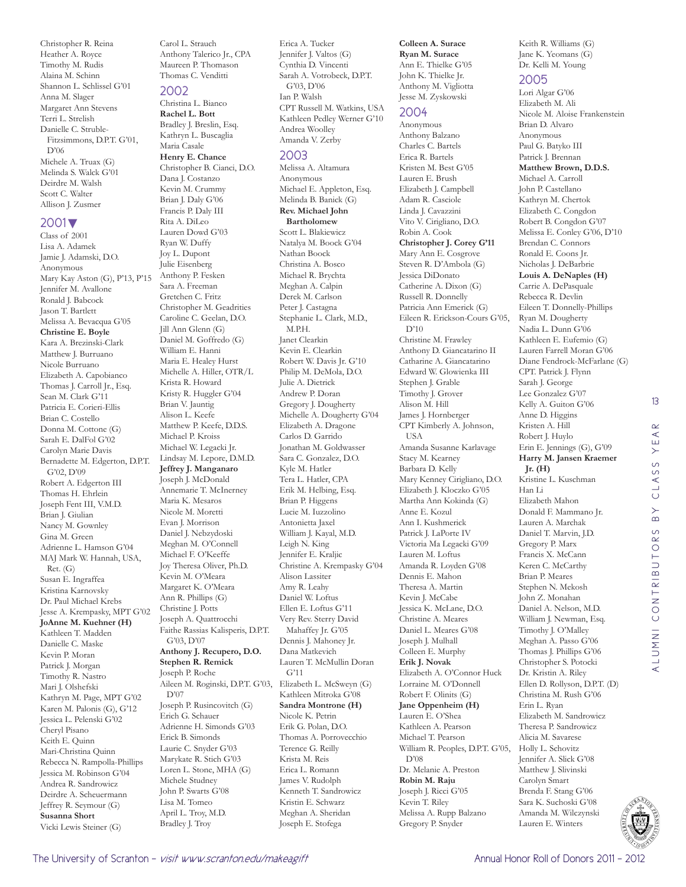Christopher R. Reina Heather A. Royce Timothy M. Rudis Alaina M. Schinn Shannon L. Schlissel G'01 Anna M. Slager Margaret Ann Stevens Terri L. Strelish Danielle C. Struble-Fitzsimmons, D.P.T. G'01, D'06 Michele A. Truax (G) Melinda S. Walck G'01 Deirdre M. Walsh Scott C. Walter Allison J. Zusmer

#### 2001▼

Class of 2001 Lisa A. Adamek Jamie J. Adamski, D.O. Anonymous Mary Kay Aston (G), P'13, P'15 Jennifer M. Avallone Ronald J. Babcock Jason T. Bartlett Melissa A. Bevacqua G'05 **Christine E. Boyle**  Kara A. Brezinski-Clark Matthew J. Burruano Nicole Burruano Elizabeth A. Capobianco Thomas J. Carroll Jr., Esq. Sean M. Clark G'11 Patricia E. Corieri-Ellis Brian C. Costello Donna M. Cottone (G) Sarah E. DalFol G'02 Carolyn Marie Davis Bernadette M. Edgerton, D.P.T. G'02, D'09 Robert A. Edgerton III Thomas H. Ehrlein Joseph Fent III, V.M.D. Brian J. Giulian Nancy M. Gownley Gina M. Green Adrienne L. Hamson G'04 MAJ Mark W. Hannah, USA, Ret. (G) Susan E. Ingraffea Kristina Karnovsky Dr. Paul Michael Krebs Jesse A. Krempasky, MPT G'02 **JoAnne M. Kuehner (H)** Kathleen T. Madden Danielle C. Maske Kevin P. Moran Patrick J. Morgan Timothy R. Nastro Mari J. Olshefski Kathryn M. Page, MPT G'02 Karen M. Palonis (G), G'12 Jessica L. Pelenski G'02 Cheryl Pisano Keith E. Quinn Mari-Christina Quinn Rebecca N. Rampolla-Phillips Jessica M. Robinson G'04 Andrea R. Sandrowicz Deirdre A. Scheuermann Jeffrey R. Seymour (G) **Susanna Short**  Vicki Lewis Steiner (G)

Carol L. Strauch Anthony Talerico Jr., CPA Maureen P. Thomason Thomas C. Venditti

#### 2002 Christina L. Bianco

**Rachel L. Bott**  Bradley J. Breslin, Esq. Kathryn L. Buscaglia Maria Casale **Henry E. Chance**  Christopher B. Cianci, D.O. Dana J. Costanzo Kevin M. Crummy Brian J. Daly G'06 Francis P. Daly III Rita A. DiLeo Lauren Dowd G'03 Ryan W. Duffy Joy L. Dupont Julie Eisenberg Anthony P. Fesken Sara A. Freeman Gretchen C. Fritz Christopher M. Geadrities Caroline C. Geelan, D.O. Jill Ann Glenn (G) Daniel M. Goffredo (G) William E. Hanni Maria E. Healey Hurst Michelle A. Hiller, OTR/L Krista R. Howard Kristy R. Huggler G'04 Brian V. Jauntig Alison L. Keefe Matthew P. Keefe, D.D.S. Michael P. Kroiss Michael W. Legacki Jr. Lindsay M. Lepore, D.M.D. **Jeffrey J. Manganaro**  Joseph J. McDonald Annemarie T. McInerney Maria K. Mesaros Nicole M. Moretti Evan J. Morrison Daniel J. Nebzydoski Meghan M. O'Connell Michael F. O'Keeffe Joy Theresa Oliver, Ph.D. Kevin M. O'Meara Margaret K. O'Meara Ann R. Phillips (G) Christine J. Potts Joseph A. Quattrocchi Faithe Rassias Kalisperis, D.P.T. G'03, D'07 **Anthony J. Recupero, D.O. Stephen R. Remick**  Joseph P. Roche Aileen M. Roginski, D.P.T. G'03, D'07 Joseph P. Rusincovitch (G) Erich G. Schauer Adrienne H. Simonds G'03 Erick B. Simonds Laurie C. Snyder G'03 Marykate R. Stich G'03 Loren L. Stone, MHA (G) Michele Studney John P. Swarts G'08 Lisa M. Tomeo April L. Troy, M.D. Bradley J. Troy

Erica A. Tucker Jennifer J. Valtos (G) Cynthia D. Vincenti Sarah A. Votrobeck, D.P.T. G'03, D'06 Ian P. Walsh CPT Russell M. Watkins, USA Kathleen Pedley Werner G'10 Andrea Woolley Amanda V. Zerby

#### 2003

Melissa A. Altamura Anonymous Michael E. Appleton, Esq. Melinda B. Banick (G) **Rev. Michael John Bartholomew**  Scott L. Blakiewicz Natalya M. Boock G'04 Nathan Boock Christina A. Bosco Michael R. Brychta Meghan A. Calpin Derek M. Carlson Peter J. Castagna Stephanie L. Clark, M.D., M.P.H. Janet Clearkin Kevin E. Clearkin Robert W. Davis Jr. G'10 Philip M. DeMola, D.O. Julie A. Dietrick Andrew P. Doran Gregory J. Dougherty Michelle A. Dougherty G'04 Elizabeth A. Dragone Carlos D. Garrido Jonathan M. Goldwasser Sara C. Gonzalez, D.O. Kyle M. Hatler Tera L. Hatler, CPA Erik M. Helbing, Esq. Brian P. Higgens Lucie M. Iuzzolino Antonietta Jaxel William J. Kayal, M.D. Leigh N. King Jennifer E. Kraljic Christine A. Krempasky G'04 Alison Lassiter Amy R. Leahy Daniel W. Loftus Ellen E. Loftus G'11 Very Rev. Sterry David Mahaffey Jr. G'05 Dennis J. Mahoney Jr. Dana Matkevich Lauren T. McMullin Doran G'11 Elizabeth L. McSweyn (G) Kathleen Mitroka G'08 **Sandra Montrone (H)** Nicole K. Petrin Erik G. Polan, D.O. Thomas A. Porrovecchio Terence G. Reilly Krista M. Reis Erica L. Romann James V. Rudolph Kenneth T. Sandrowicz Kristin E. Schwarz Meghan A. Sheridan Joseph E. Stofega

#### **Colleen A. Surace**

**Ryan M. Surace**  Ann E. Thielke G'05 John K. Thielke Jr. Anthony M. Vigliotta Jesse M. Zyskowski

#### 2004

Anonymous Anthony Balzano Charles C. Bartels Erica R. Bartels Kristen M. Best G'05 Lauren E. Brush Elizabeth J. Campbell Adam R. Casciole Linda J. Cavazzini Vito V. Cirigliano, D.O. Robin A. Cook **Christopher J. Corey G'11** Mary Ann E. Cosgrove Steven R. D'Ambola (G) Jessica DiDonato Catherine A. Dixon (G) Russell R. Donnelly Patricia Ann Emerick (G) Eileen R. Erickson-Cours G'05, D'10 Christine M. Frawley Anthony D. Giancatarino II Catharine A. Giancatarino Edward W. Glowienka III Stephen J. Grable Timothy J. Grover Alison M. Hill James J. Hornberger CPT Kimberly A. Johnson, **TISA** Amanda Susanne Karlavage Stacy M. Kearney Barbara D. Kelly Mary Kenney Cirigliano, D.O. Elizabeth J. Kloczko G'05 Martha Ann Kokinda (G) Anne E. Kozul Ann I. Kushmerick Patrick J. LaPorte IV Victoria Ma Legacki G'09 Lauren M. Loftus Amanda R. Loyden G'08 Dennis E. Mahon Theresa A. Martin Kevin J. McCabe Jessica K. McLane, D.O. Christine A. Meares Daniel L. Meares G'08 Joseph J. Mulhall Colleen E. Murphy **Erik J. Novak**  Elizabeth A. O'Connor Huck Lorraine M. O'Donnell Robert F. Olinits (G) **Jane Oppenheim (H)** Lauren E. O'Shea Kathleen A. Pearson Michael T. Pearson William R. Peoples, D.P.T. G'05, D'08 Dr. Melanie A. Preston **Robin M. Raju**  Joseph J. Ricci G'05 Kevin T. Riley Melissa A. Rupp Balzano Gregory P. Snyder

Keith R. Williams (G) Jane K. Yeomans (G) Dr. Kelli M. Young

#### 2005

Lori Algar G'06 Elizabeth M. Ali Nicole M. Aloise Frankenstein Brian D. Alvaro Anonymous Paul G. Batyko III Patrick J. Brennan **Matthew Brown, D.D.S.**  Michael A. Carroll John P. Castellano Kathryn M. Chertok Elizabeth C. Congdon Robert B. Congdon G'07 Melissa E. Conley G'06, D'10 Brendan C. Connors Ronald E. Coons Jr. Nicholas J. DeBarbrie **Louis A. DeNaples (H)** Carrie A. DePasquale Rebecca R. Devlin Eileen T. Donnelly-Phillips Ryan M. Dougherty Nadia L. Dunn G'06 Kathleen E. Eufemio (G) Lauren Farrell Moran G'06 Diane Fendrock-McFarlane (G) CPT. Patrick J. Flynn Sarah J. George Lee Gonzalez G'07 Kelly A. Guiton G'06 Anne D. Higgins Kristen A. Hill Robert J. Huylo Erin E. Jennings (G), G'09 **Harry M. Jansen Kraemer Jr. (H)** Kristine L. Kuschman Han Li Elizabeth Mahon Donald F. Mammano Jr. Lauren A. Marchak Daniel T. Marvin, J.D. Gregory P. Marx Francis X. McCann Keren C. McCarthy Brian P. Meares Stephen N. Mekosh John Z. Monahan Daniel A. Nelson, M.D. William J. Newman, Esq. Timothy J. O'Malley Meghan A. Passo G'06 Thomas J. Phillips G'06 Christopher S. Potocki Dr. Kristin A. Riley Ellen D. Rollyson, D.P.T. (D) Christina M. Rush G'06 Erin L. Ryan Elizabeth M. Sandrowicz Theresa P. Sandrowicz Alicia M. Savarese Holly L. Schovitz Jennifer A. Slick G'08 Matthew J. Slivinski Carolyn Smart Brenda F. Stang G'06 Sara K. Suchoski G'08 Amanda M. Wilczynski Lauren E. Winters



13

 $\alpha$  $\prec$ YE,

CLASS

 $\overline{B}$ 

ALUMNI CONTRIBUTORS BY CLASS YEAR

ALUMNI CONTRIBUTORS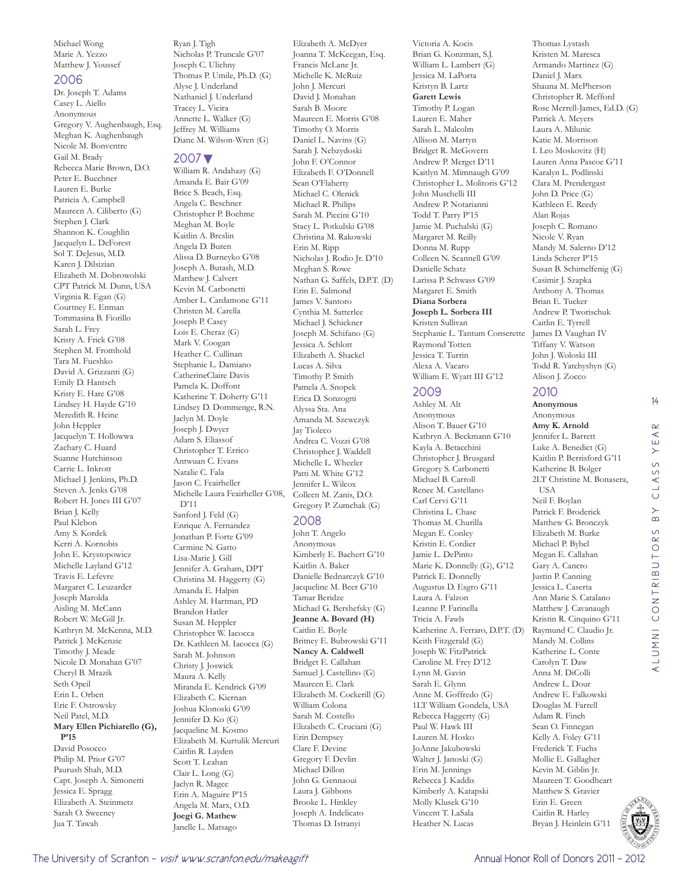Michael Wong Marie A. Yezzo Matthew J. Youssef

#### 2006

Dr. Joseph T. Adams Casey L. Aiello Anonymous Gregory V. Aughenbaugh, Esq. Meghan K. Aughenbaugh Nicole M. Bonventre Gail M. Brady Rebecca Marie Brown, D.O. Peter E. Buechner Lauren E. Burke Patricia A. Campbell Maureen A. Ciliberto (G) Stephen J. Clark Shannon K. Coughlin Jacquelyn L. DeForest Sol T. DeJesus, M.D. Karen J. Dilsizian Elizabeth M. Dobrowolski CPT Patrick M. Dunn, USA Virginia R. Egan (G) Courtney E. Enman Tommasina B. Fiorillo Sarah L. Frey Kristy A. Frick G'08 Stephen M. Fromhold Tara M. Fueshko David A. Grizzanti (G) Emily D. Hantsch Kristy E. Hare G'08 Lindsey H. Hayde G'10 Meredith R. Heine John Heppler Jacquelyn T. Hollowwa Zachary C. Huard Suanne Hutchinson Carrie L. Inkrott Michael J. Jenkins, Ph.D. Steven A. Jenks G'08 Robert H. Jones III G'07 Brian J. Kelly Paul Klebon Amy S. Kordek Kerri A. Kornobis John E. Krystopowicz Michelle Layland G'12 Travis E. Lefevre Margaret C. Leuzarder Joseph Marolda Aisling M. McCann Robert W. McGill Jr. Kathryn M. McKenna, M.D. Patrick J. McKenzie Timothy J. Meade Nicole D. Monahan G'07 Cheryl B. Mrazik Seth Opeil Erin L. Orben Eric F. Ostrowsky Neil Patel, M.D. **Mary Ellen Pichiarello (G), P'15** David Posocco Philip M. Prior G'07 Paurush Shah, M.D. Capt. Joseph A. Simonetti Jessica E. Spragg Elizabeth A. Steinmetz Sarah O. Sweeney Jua T. Tawah

Ryan J. Tigh Nicholas P. Truncale G'07 Joseph C. Ulichny Thomas P. Umile, Ph.D. (G) Alyse J. Underland Nathaniel J. Underland Tracey L. Vieira Annette L. Walker (G) Jeffrey M. Williams Diane M. Wilson-Wren (G)

#### 2007▼

William R. Andahazy (G) Amanda E. Bair G'09 Brice S. Beach, Esq. Angela C. Beschner Christopher P. Boehme Meghan M. Boyle Kaitlin A. Breslin Angela D. Buren Alissa D. Burneyko G'08 Joseph A. Butash, M.D. Matthew J. Calvert Kevin M. Carbonetti Amber L. Cardamone G'11 Christen M. Carella Joseph P. Casey Lois E. Cheraz (G) Mark V. Coogan Heather C. Cullinan Stephanie L. Damiano CatherineClaire Davis Pamela K. Doffont Katherine T. Doherty G'11 Lindsey D. Dommenge, R.N. Jaclyn M. Doyle Joseph J. Dwyer Adam S. Eliassof Christopher T. Errico Antwuan C. Evans Natalie C. Fala Jason C. Feairheller Michelle Laura Feairheller G'08, D'11 Sanford J. Feld (G) Enrique A. Fernandez Jonathan P. Forte G'09 Carmine N. Gatto Lisa-Marie J. Gill Jennifer A. Graham, DPT Christina M. Haggerty (G) Amanda E. Halpin Ashley M. Hartman, PD Brandon Hatler Susan M. Heppler Christopher W. Iacocca Dr. Kathleen M. Iacocca (G) Sarah M. Johnson Christy J. Joswick Maura A. Kelly Miranda E. Kendrick G'09 Elizabeth C. Kiernan Joshua Klonoski G'09 Jennifer D. Ko (G) Jacqueline M. Kosmo Elizabeth M. Kurtulik Mercuri Caitlin R. Layden Scott T. Leahan Clair L. Long (G) Jaclyn R. Magee Erin A. Maguire P'15 Angela M. Marx, O.D. **Joegi G. Mathew**  Janelle L. Matsago

Elizabeth A. McDyer Joanna T. McKeegan, Esq. Francis McLane Jr. Michelle K. McRuiz John J. Mercuri David J. Monahan Sarah B. Moore Maureen E. Morris G'08 Timothy O. Morris Daniel L. Navins (G) Sarah J. Nebzydoski John F. O'Connor Elizabeth F. O'Donnell Sean O'Flaherty Michael C. Olenick Michael R. Philips Sarah M. Piccini G'10 Stacy L. Potkulski G'08 Christina M. Rakowski Erin M. Ripp Nicholas J. Rodio Jr. D'10 Meghan S. Rowe Nathan G. Saffels, D.P.T. (D) Erin E. Salmond James V. Santoro Cynthia M. Satterlee Michael J. Schickner Joseph M. Schifano (G) Jessica A. Schlott Elizabeth A. Shackel Lucas A. Silva Timothy P. Smith Pamela A. Snopek Erica D. Sonzogni Alyssa Sta. Ana Amanda M. Szewczyk Jay Tioleco Andrea C. Vozzi G'08 Christopher J. Waddell Michelle L. Wheeler Patti M. White G'12 Jennifer L. Wilcox Colleen M. Zanis, D.O. Gregory P. Zumchak (G) 2008 John T. Angelo Anonymous Kimberly E. Bachert G'10 Kaitlin A. Baker

Danielle Bednarczyk G'10 Jacqueline M. Beer G'10 Tamar Beridze Michael G. Bershefsky (G) **Jeanne A. Bovard (H)** Caitlin E. Boyle Britney E. Bubrowski G'11 **Nancy A. Caldwell**  Bridget E. Callahan Samuel J. Castellino (G) Maureen E. Clark Elizabeth M. Cockerill (G) William Colona Sarah M. Costello Elizabeth C. Cruciani (G) Erin Dempsey Clare F. Devine Gregory F. Devlin Michael Dillon John G. Gennaoui Laura J. Gibbons Brooke L. Hinkley Joseph A. Indelicato Thomas D. Istranyi

Victoria A. Kocis Brian G. Konzman, S.J. William L. Lambert (G) Jessica M. LaPorta Kristyn B. Lartz **Garett Lewis**  Timothy P. Logan Lauren E. Maher Sarah L. Malcolm Allison M. Martyn Bridget R. McGovern Andrew P. Merget D'11 Kaitlyn M. Mimnaugh G'09 Christopher L. Molitoris G'12 John Muschelli III Andrew P. Notarianni Todd T. Parry P'15 Jamie M. Puchalski (G) Margaret M. Reilly Donna M. Rupp Colleen N. Scannell G'09 Danielle Schatz Larissa P. Schwass G'09 Margaret E. Smith **Diana Sorbera Joseph L. Sorbera III**  Kristen Sullivan Stephanie L. Tantum Conserette Raymond Totten Jessica T. Turrin Alexa A. Vacaro William E. Wyatt III G'12

#### 2009

Ashley M. Alt Anonymous Alison T. Bauer G'10 Kathryn A. Beckmann G'10 Kayla A. Betacchini Christopher J. Brusgard Gregory S. Carbonetti Michael B. Carroll Renee M. Castellano Carl Cervi G'11 Christina L. Chase Thomas M. Churilla Megan E. Conley Kristin E. Cordier Jamie L. DePinto Marie K. Donnelly (G), G'12 Patrick E. Donnelly Augustus D. Esgro G'11 Laura A. Falzon Leanne P. Farinella Tricia A. Fawls Katherine A. Ferraro, D.P.T. (D) Keith Fitzgerald (G) Joseph W. FitzPatrick Caroline M. Frey D'12 Lynn M. Gavin Sarah E. Glynn Anne M. Goffredo (G) 1LT William Gondela, USA Rebecca Haggerty (G) Paul W. Hawk III Lauren M. Hosko JoAnne Jakubowski Walter J. Janoski (G) Erin M. Jennings Rebecca J. Kaddis Kimberly A. Katapski Molly Klusek G'10 Vincent T. LaSala Heather N. Lucas

Thomas Lystash Kristen M. Maresca Armando Martinez (G) Daniel J. Marx Shauna M. McPherson Christopher R. Mefford Rose Merrell-James, Ed.D. (G) Patrick A. Meyers Laura A. Milunic Katie M. Morrison I. Leo Moskovitz (H) Lauren Anna Pascoe G'11 Karalyn L. Podlinski Clara M. Prendergast John D. Price (G) Kathleen E. Reedy Alan Rojas Joseph C. Romano Nicole V. Ryan Mandy M. Salerno D'12 Linda Scherer P'15 Susan B. Schimelfenig (G) Casimir J. Szapka Anthony A. Thomas Brian E. Tucker Andrew P. Tworischuk Caitlin E. Tyrrell James D. Vaughan IV Tiffany V. Watson John J. Woloski III Todd R. Yatchyshyn (G) Alison J. Zocco

#### 2010

**Anonymous** Anonymous **Amy K. Arnold**  Jennifer L. Barrett Luke A. Benedict (G) Kaitlin P. Berrisford G'11 Katherine B. Bolger 2LT Christine M. Bonasera, USA Neil F. Boylan Patrick F. Broderick Matthew G. Bronczyk Elizabeth M. Burke Michael P. Bybel Megan E. Callahan Gary A. Cancro Justin P. Canning Jessica L. Caserta Ann Marie S. Catalano Matthew J. Cavanaugh Kristin R. Cinquino G'11 Raymund C. Claudio Jr. Mandy M. Collins Katherine L. Conte Carolyn T. Daw Anna M. DiColli Andrew L. Dour Andrew E. Falkowski Douglas M. Farrell Adam R. Finch Sean O. Finnegan Kelly A. Foley G'11 Frederick T. Fuchs Mollie E. Gallagher Kevin M. Giblin Jr. Maureen T. Goodheart Matthew S. Gravier Erin E. Green Caitlin R. Harley Bryan J. Heinlein G'11



14

 $\alpha$  $\prec$ YE,

CLASS

 $\overline{B}$ 

ALUMNI CONTRIBUTORS BY CLASS YEAR

ALUMNI CONTRIBUTORS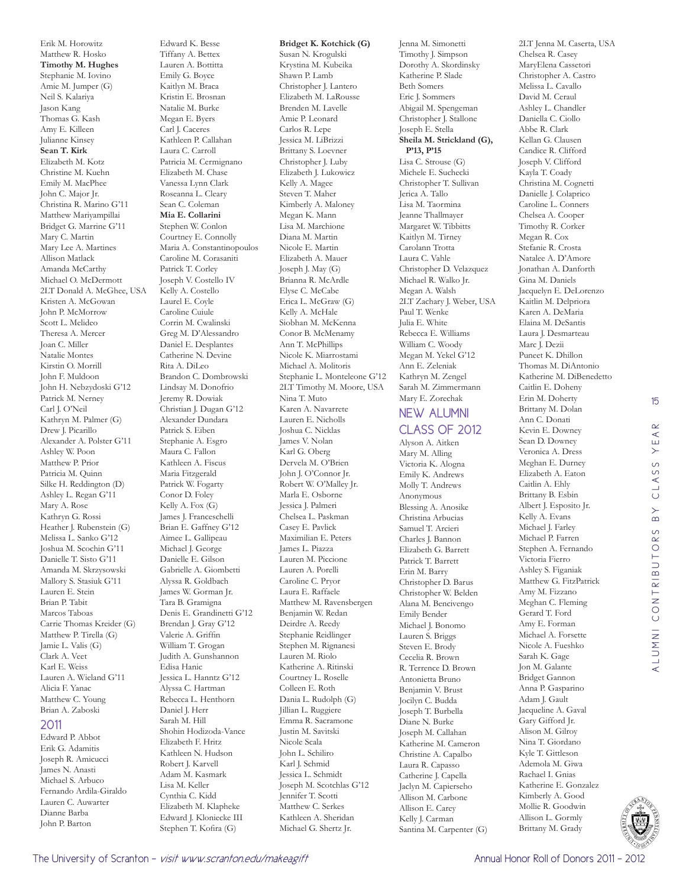Erik M. Horowitz Matthew R. Hosko **Timothy M. Hughes**  Stephanie M. Iovino Amie M. Jumper (G) Neil S. Kalariya Jason Kang Thomas G. Kash Amy E. Killeen Julianne Kinsey **Sean T. Kirk**  Elizabeth M. Kotz Christine M. Kuehn Emily M. MacPhee John C. Major Jr. Christina R. Marino G'11 Matthew Mariyampillai Bridget G. Marrine G'11 Mary C. Martin Mary Lee A. Martines Allison Matlack Amanda McCarthy Michael O. McDermott 2LT Donald A. McGhee, USA Kristen A. McGowan John P. McMorrow Scott L. Melideo Theresa A. Mercer Joan C. Miller Natalie Montes Kirstin O. Morrill John F. Muldoon John H. Nebzydoski G'12 Patrick M. Nerney Carl J. O'Neil Kathryn M. Palmer (G) Drew J. Picarillo Alexander A. Polster G'11 Ashley W. Poon Matthew P. Prior Patricia M. Quinn Silke H. Reddington (D) Ashley L. Regan G'11 Mary A. Rose Kathryn G. Rossi Heather J. Rubenstein (G) Melissa L. Sanko G'12 Joshua M. Scochin G'11 Danielle T. Sisto G'11 Amanda M. Skrzysowski Mallory S. Stasiuk G'11 Lauren E. Stein Brian P. Tabit Marcos Taboas Carrie Thomas Kreider (G) Matthew P. Tirella (G) Jamie L. Valis (G) Clark A. Veet Karl E. Weiss Lauren A. Wieland G'11 Alicia F. Yanac Matthew C. Young Brian A. Zaboski 2011

#### Edward P. Abbot Erik G. Adamitis Joseph R. Amicucci James N. Anasti Michael S. Arbuco Fernando Ardila-Giraldo Lauren C. Auwarter Dianne Barba John P. Barton

Edward K. Besse Tiffany A. Bettex Lauren A. Bottitta Emily G. Boyce Kaitlyn M. Braca Kristin E. Brosnan Natalie M. Burke Megan E. Byers Carl J. Caceres Kathleen P. Callahan Laura C. Carroll Patricia M. Cermignano Elizabeth M. Chase Vanessa Lynn Clark Roseanna L. Cleary Sean C. Coleman **Mia E. Collarini**  Stephen W. Conlon Courtney E. Connolly Maria A. Constantinopoulos Caroline M. Corasaniti Patrick T. Corley Joseph V. Costello IV Kelly A. Costello Laurel E. Coyle Caroline Cuiule Corrin M. Cwalinski Greg M. D'Alessandro Daniel E. Desplantes Catherine N. Devine Rita A. DiLeo Brandon C. Dombrowski Lindsay M. Donofrio Jeremy R. Dowiak Christian J. Dugan G'12 Alexander Dundara Patrick S. Eiben Stephanie A. Esgro Maura C. Fallon Kathleen A. Fiscus Maria Fitzgerald Patrick W. Fogarty Conor D. Foley Kelly A. Fox (G) James J. Franceschelli Brian E. Gaffney G'12 Aimee L. Gallipeau Michael J. George Danielle E. Gilson Gabrielle A. Giombetti Alyssa R. Goldbach James W. Gorman Jr. Tara B. Gramigna Denis E. Grandinetti G'12 Brendan J. Gray G'12 Valerie A. Griffin William T. Grogan Judith A. Gunshannon Edisa Hanic Jessica L. Hanntz G'12 Alyssa C. Hartman Rebecca L. Henthorn Daniel J. Herr Sarah M. Hill Shohin Hodizoda-Vance Elizabeth F. Hritz Kathleen N. Hudson Robert J. Karvell Adam M. Kasmark Lisa M. Keller Cynthia C. Kidd Elizabeth M. Klapheke Edward J. Kloniecke III Stephen T. Kofira (G)

#### **Bridget K. Kotchick (G)** Susan N. Krogulski Krystina M. Kubeika Shawn P. Lamb Christopher J. Lantero Elizabeth M. LaRousse Brenden M. Lavelle Amie P. Leonard Carlos R. Lepe Jessica M. LiBrizzi Brittany S. Loevner Christopher J. Luby Elizabeth J. Lukowicz Kelly A. Magee Steven T. Maher Kimberly A. Maloney Megan K. Mann Lisa M. Marchione Diana M. Martin Nicole E. Martin Elizabeth A. Mauer Joseph J. May (G) Brianna R. McArdle Elyse C. McCabe Erica L. McGraw (G) Kelly A. McHale Siobhan M. McKenna Conor B. McMenamy Ann T. McPhillips Nicole K. Miarrostami Michael A. Molitoris Stephanie L. Monteleone G'12 2LT Timothy M. Moore, USA Nina T. Muto Karen A. Navarrete Lauren E. Nicholls Joshua C. Nicklas James V. Nolan Karl G. Oberg Dervela M. O'Brien John J. O'Connor Jr. Robert W. O'Malley Jr. Marla E. Osborne Jessica J. Palmeri Chelsea L. Paskman Casey E. Pavlick Maximilian E. Peters James L. Piazza Lauren M. Piccione Lauren A. Porelli Caroline C. Pryor Laura E. Raffaele Matthew M. Ravensbergen Benjamin W. Redan Deirdre A. Reedy Stephanie Reidlinger Stephen M. Rignanesi Lauren M. Riolo Katherine A. Ritinski Courtney L. Roselle Colleen E. Roth Dania L. Rudolph (G) Jillian L. Ruggiere Emma R. Sacramone Justin M. Savitski Nicole Scala John L. Schiliro Karl J. Schmid Jessica L. Schmidt Joseph M. Scotchlas G'12 Jennifer T. Scotti Matthew C. Serkes Kathleen A. Sheridan

Michael G. Shertz Jr.

Jenna M. Simonetti Timothy J. Simpson Dorothy A. Skordinsky Katherine P. Slade Beth Somers Eric J. Sommers Abigail M. Spengeman Christopher J. Stallone Joseph E. Stella **Sheila M. Strickland (G), P'13, P'15** Lisa C. Strouse (G) Michele E. Suchecki Christopher T. Sullivan Jerica A. Tallo Lisa M. Taormina Jeanne Thallmayer Margaret W. Tibbitts Kaitlyn M. Tirney Carolann Trotta Laura C. Vahle Christopher D. Velazquez Michael R. Walko Jr. Megan A. Walsh 2LT Zachary J. Weber, USA Paul T. Wenke Julia E. White Rebecca E. Williams William C. Woody Megan M. Yekel G'12 Ann E. Zeleniak Kathryn M. Zengel Sarah M. Zimmermann Mary E. Zorechak NEW ALUMNI CLASS OF 2012 Alyson A. Aitken Mary M. Alling Victoria K. Alogna Emily K. Andrews Molly T. Andrews Anonymous

Blessing A. Anosike Christina Arbucias Samuel T. Arcieri Charles J. Bannon Elizabeth G. Barrett Patrick T. Barrett Erin M. Barry Christopher D. Barus Christopher W. Belden Alana M. Bencivengo Emily Bender Michael J. Bonomo Lauren S. Briggs Steven E. Brody Cecelia R. Brown R. Terrence D. Brown Antonietta Bruno Benjamin V. Brust Jocilyn C. Budda Joseph T. Burbella Diane N. Burke Joseph M. Callahan Katherine M. Cameron Christine A. Capalbo Laura R. Capasso Catherine J. Capella Jaclyn M. Capierseho Allison M. Carbone Allison E. Carey Kelly J. Carman

Santina M. Carpenter (G)

2LT Jenna M. Caserta, USA Chelsea R. Casey MaryElena Cassetori Christopher A. Castro Melissa L. Cavallo David M. Ceraul Ashley L. Chandler Daniella C. Ciollo Abbe R. Clark Kellan G. Clausen Candice R. Clifford Joseph V. Clifford Kayla T. Coady Christina M. Cognetti Danielle J. Colaprico Caroline L. Conners Chelsea A. Cooper Timothy R. Corker Megan R. Cox Stefanie R. Crosta Natalee A. D'Amore Jonathan A. Danforth Gina M. Daniels Jacquelyn E. DeLorenzo Kaitlin M. Delpriora Karen A. DeMaria Elaina M. DeSantis Laura J. Desmarteau Marc I. Dezii Puneet K. Dhillon Thomas M. DiAntonio Katherine M. DiBenedetto Caitlin E. Doheny Erin M. Doherty Brittany M. Dolan Ann C. Donati Kevin E. Downey Sean D. Downey Veronica A. Dress Meghan E. Durney Elizabeth A. Eaton Caitlin A. Ehly Brittany B. Esbin Albert J. Esposito Jr. Kelly A. Evans Michael J. Farley Michael P. Farren Stephen A. Fernando Victoria Fierro Ashley S. Figaniak Matthew G. FitzPatrick Amy M. Fizzano Meghan C. Fleming Gerard T. Ford Amy E. Forman Michael A. Forsette Nicole A. Fueshko Sarah K. Gage Jon M. Galante Bridget Gannon Anna P. Gasparino Adam J. Gault Jacqueline A. Gaval Gary Gifford Jr. Alison M. Gilroy Nina T. Giordano Kyle T. Gittleson Ademola M. Giwa Rachael I. Gnias Katherine E. Gonzalez Kimberly A. Good Mollie R. Goodwin Allison L. Gormly Brittany M. Grady